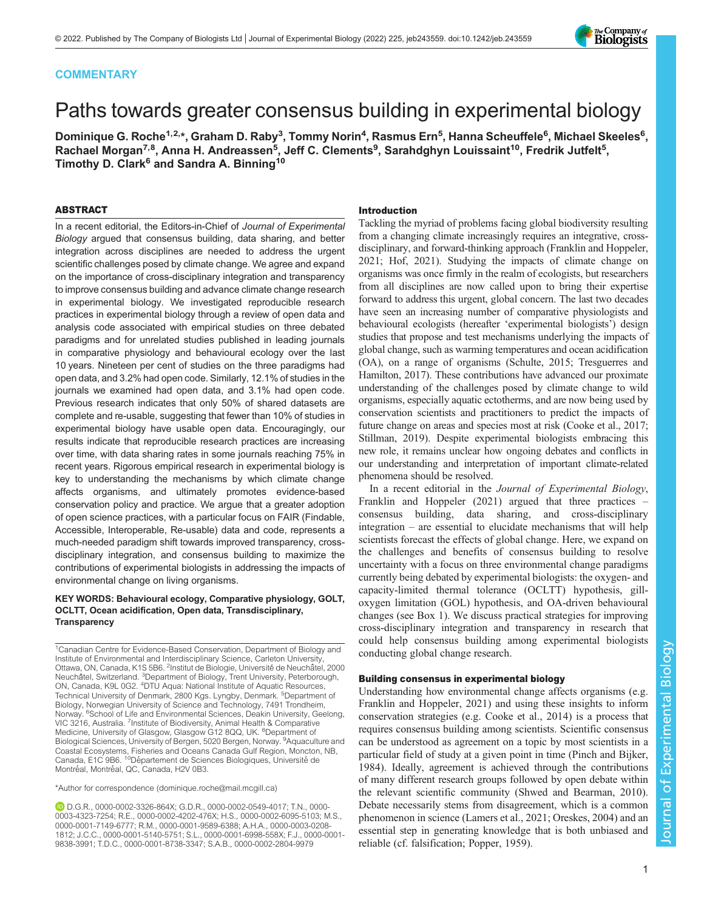## **COMMENTARY**

# Paths towards greater consensus building in experimental biology

Dominique G. Roche<sup>1,2,</sup>\*, Graham D. Raby<sup>3</sup>, Tommy Norin<sup>4</sup>, Rasmus Ern<sup>5</sup>, Hanna Scheuffele<sup>6</sup>, Michael Skeeles<sup>6</sup>, Rachael Morgan<sup>7,8</sup>, Anna H. Andreassen<sup>5</sup>, Jeff C. Clements<sup>9</sup>, Sarahdghyn Louissaint<sup>10</sup>, Fredrik Jutfelt<sup>5</sup>, Timothy D. Clark<sup>6</sup> and Sandra A. Binning<sup>10</sup>

## ABSTRACT

In a recent editorial, the Editors-in-Chief of Journal of Experimental Biology argued that consensus building, data sharing, and better integration across disciplines are needed to address the urgent scientific challenges posed by climate change. We agree and expand on the importance of cross-disciplinary integration and transparency to improve consensus building and advance climate change research in experimental biology. We investigated reproducible research practices in experimental biology through a review of open data and analysis code associated with empirical studies on three debated paradigms and for unrelated studies published in leading journals in comparative physiology and behavioural ecology over the last 10 years. Nineteen per cent of studies on the three paradigms had open data, and 3.2% had open code. Similarly, 12.1% of studies in the journals we examined had open data, and 3.1% had open code. Previous research indicates that only 50% of shared datasets are complete and re-usable, suggesting that fewer than 10% of studies in experimental biology have usable open data. Encouragingly, our results indicate that reproducible research practices are increasing over time, with data sharing rates in some journals reaching 75% in recent years. Rigorous empirical research in experimental biology is key to understanding the mechanisms by which climate change affects organisms, and ultimately promotes evidence-based conservation policy and practice. We argue that a greater adoption of open science practices, with a particular focus on FAIR (Findable, Accessible, Interoperable, Re-usable) data and code, represents a much-needed paradigm shift towards improved transparency, crossdisciplinary integration, and consensus building to maximize the contributions of experimental biologists in addressing the impacts of environmental change on living organisms.

## KEY WORDS: Behavioural ecology, Comparative physiology, GOLT, OCLTT, Ocean acidification, Open data, Transdisciplinary, **Transparency**

<sup>1</sup>Canadian Centre for Evidence-Based Conservation, Department of Biology and Institute of Environmental and Interdisciplinary Science, Carleton University, Ottawa, ON, Canada, K1S 5B6. <sup>2</sup>Institut de Biologie, Université de Neuchâtel, 2000 Neuchâtel, Switzerland. <sup>3</sup>Department of Biology, Trent University, Peterborough, ON, Canada, K9L 0G2. <sup>4</sup>DTU Aqua: National Institute of Aquatic Resources, Technical University of Denmark, 2800 Kgs. Lyngby, Denmark. <sup>5</sup>Department of Biology, Norwegian University of Science and Technology, 7491 Trondheim, Norway. <sup>6</sup>School of Life and Environmental Sciences, Deakin University, Geelong, VIC 3216, Australia. <sup>7</sup>Institute of Biodiversity, Animal Health & Comparative<br>Medicine, University of Glasgow, Glasgow G12 8QQ, UK. <sup>8</sup>Department of Biological Sciences, University of Bergen, 5020 Bergen, Norway. <sup>9</sup>Aquaculture and Coastal Ecosystems, Fisheries and Oceans Canada Gulf Region, Moncton, NB,<br>Canada, E1C 9B6. <sup>10</sup>Département de Sciences Biologiques, Université de Montréal, Montréal, QC, Canada, H2V 0B3.

\*Author for correspondence [\(dominique.roche@mail.mcgill.ca\)](mailto:dominique.roche@mail.mcgill.ca)

D.G.R., [0000-0002-3326-864X;](http://orcid.org/0000-0002-3326-864X) G.D.R., [0000-0002-0549-4017](http://orcid.org/0000-0002-0549-4017); T.N., [0000-](http://orcid.org/0000-0003-4323-7254) [0003-4323-7254;](http://orcid.org/0000-0003-4323-7254) R.E., [0000-0002-4202-476X;](http://orcid.org/0000-0002-4202-476X) H.S., [0000-0002-6095-5103;](http://orcid.org/0000-0002-6095-5103) M.S., [0000-0001-7149-6777;](http://orcid.org/0000-0001-7149-6777) R.M., [0000-0001-9589-6388](http://orcid.org/0000-0001-9589-6388); A.H.A., [0000-0003-0208-](http://orcid.org/0000-0003-0208-1812) [1812](http://orcid.org/0000-0003-0208-1812); J.C.C., [0000-0001-5140-5751;](http://orcid.org/0000-0001-5140-5751) S.L., [0000-0001-6998-558X;](http://orcid.org/0000-0001-6998-558X) F.J., [0000-0001-](http://orcid.org/0000-0001-9838-3991) [9838-3991](http://orcid.org/0000-0001-9838-3991); T.D.C., [0000-0001-8738-3347;](http://orcid.org/0000-0001-8738-3347) S.A.B., [0000-0002-2804-9979](http://orcid.org/0000-0002-2804-9979)

## Introduction

Tackling the myriad of problems facing global biodiversity resulting from a changing climate increasingly requires an integrative, crossdisciplinary, and forward-thinking approach ([Franklin and Hoppeler,](#page-8-0) [2021; Hof, 2021\)](#page-8-0). Studying the impacts of climate change on organisms was once firmly in the realm of ecologists, but researchers from all disciplines are now called upon to bring their expertise forward to address this urgent, global concern. The last two decades have seen an increasing number of comparative physiologists and behavioural ecologists (hereafter 'experimental biologists') design studies that propose and test mechanisms underlying the impacts of global change, such as warming temperatures and ocean acidification (OA), on a range of organisms [\(Schulte, 2015](#page-9-0); [Tresguerres and](#page-10-0) [Hamilton, 2017](#page-10-0)). These contributions have advanced our proximate understanding of the challenges posed by climate change to wild organisms, especially aquatic ectotherms, and are now being used by conservation scientists and practitioners to predict the impacts of future change on areas and species most at risk [\(Cooke et al., 2017](#page-8-0); [Stillman, 2019](#page-10-0)). Despite experimental biologists embracing this new role, it remains unclear how ongoing debates and conflicts in our understanding and interpretation of important climate-related phenomena should be resolved.

In a recent editorial in the *Journal of Experimental Biology*, [Franklin and Hoppeler \(2021\)](#page-8-0) argued that three practices consensus building, data sharing, and cross-disciplinary integration – are essential to elucidate mechanisms that will help scientists forecast the effects of global change. Here, we expand on the challenges and benefits of consensus building to resolve uncertainty with a focus on three environmental change paradigms currently being debated by experimental biologists: the oxygen- and capacity-limited thermal tolerance (OCLTT) hypothesis, gilloxygen limitation (GOL) hypothesis, and OA-driven behavioural changes (see [Box 1](#page-1-0)). We discuss practical strategies for improving cross-disciplinary integration and transparency in research that could help consensus building among experimental biologists conducting global change research.

## Building consensus in experimental biology

Understanding how environmental change affects organisms (e.g. [Franklin and Hoppeler, 2021](#page-8-0)) and using these insights to inform conservation strategies (e.g. [Cooke et al., 2014\)](#page-8-0) is a process that requires consensus building among scientists. Scientific consensus can be understood as agreement on a topic by most scientists in a particular field of study at a given point in time ([Pinch and Bijker,](#page-9-0) [1984\)](#page-9-0). Ideally, agreement is achieved through the contributions of many different research groups followed by open debate within the relevant scientific community [\(Shwed and Bearman, 2010\)](#page-10-0). Debate necessarily stems from disagreement, which is a common phenomenon in science [\(Lamers et al., 2021](#page-8-0); [Oreskes, 2004](#page-9-0)) and an essential step in generating knowledge that is both unbiased and reliable (cf. falsification; [Popper, 1959](#page-9-0)).

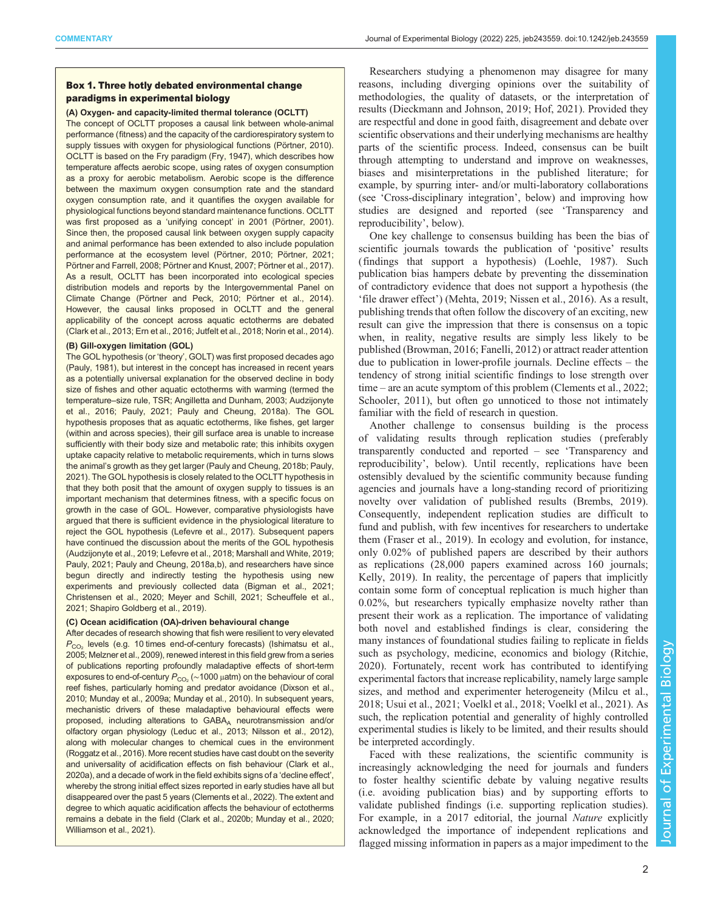## <span id="page-1-0"></span>Box 1. Three hotly debated environmental change paradigms in experimental biology

#### (A) Oxygen- and capacity-limited thermal tolerance (OCLTT)

The concept of OCLTT proposes a causal link between whole-animal performance (fitness) and the capacity of the cardiorespiratory system to supply tissues with oxygen for physiological functions ([Pörtner, 2010\)](#page-9-0). OCLTT is based on the Fry paradigm [\(Fry, 1947](#page-8-0)), which describes how temperature affects aerobic scope, using rates of oxygen consumption as a proxy for aerobic metabolism. Aerobic scope is the difference between the maximum oxygen consumption rate and the standard oxygen consumption rate, and it quantifies the oxygen available for physiological functions beyond standard maintenance functions. OCLTT was first proposed as a 'unifying concept' in 2001 [\(Pörtner, 2001](#page-9-0)). Since then, the proposed causal link between oxygen supply capacity and animal performance has been extended to also include population performance at the ecosystem level [\(Pörtner, 2010](#page-9-0); [Pörtner, 2021](#page-9-0); [Pörtner and Farrell, 2008](#page-9-0); [Pörtner and Knust, 2007; Pörtner et al., 2017](#page-9-0)). As a result, OCLTT has been incorporated into ecological species distribution models and reports by the Intergovernmental Panel on Climate Change ([Pörtner and Peck, 2010](#page-9-0); [Pörtner et al., 2014](#page-9-0)). However, the causal links proposed in OCLTT and the general applicability of the concept across aquatic ectotherms are debated ([Clark et al., 2013](#page-8-0); [Ern et al., 2016; Jutfelt et al., 2018](#page-8-0); [Norin et al., 2014\)](#page-9-0).

#### (B) Gill-oxygen limitation (GOL)

The GOL hypothesis (or 'theory', GOLT) was first proposed decades ago ([Pauly, 1981](#page-9-0)), but interest in the concept has increased in recent years as a potentially universal explanation for the observed decline in body size of fishes and other aquatic ectotherms with warming (termed the temperature–size rule, TSR; [Angilletta and Dunham, 2003; Audzijonyte](#page-7-0) [et al., 2016](#page-7-0); [Pauly, 2021; Pauly and Cheung, 2018a](#page-9-0)). The GOL hypothesis proposes that as aquatic ectotherms, like fishes, get larger (within and across species), their gill surface area is unable to increase sufficiently with their body size and metabolic rate; this inhibits oxygen uptake capacity relative to metabolic requirements, which in turns slows the animal's growth as they get larger ([Pauly and Cheung, 2018b](#page-9-0); [Pauly,](#page-9-0) [2021](#page-9-0)). The GOL hypothesis is closely related to the OCLTT hypothesis in that they both posit that the amount of oxygen supply to tissues is an important mechanism that determines fitness, with a specific focus on growth in the case of GOL. However, comparative physiologists have argued that there is sufficient evidence in the physiological literature to reject the GOL hypothesis [\(Lefevre et al., 2017\)](#page-8-0). Subsequent papers have continued the discussion about the merits of the GOL hypothesis ([Audzijonyte et al., 2019;](#page-7-0) [Lefevre et al., 2018; Marshall and White, 2019](#page-8-0); [Pauly, 2021; Pauly and Cheung, 2018a,b\)](#page-9-0), and researchers have since begun directly and indirectly testing the hypothesis using new experiments and previously collected data [\(Bigman et al., 2021](#page-7-0); [Christensen et al., 2020;](#page-7-0) [Meyer and Schill, 2021](#page-8-0); [Scheuffele et al.,](#page-9-0) [2021](#page-9-0); [Shapiro Goldberg et al., 2019](#page-10-0)).

## (C) Ocean acidification (OA)-driven behavioural change

After decades of research showing that fish were resilient to very elevated  $P_{CO<sub>2</sub>}$  levels (e.g. 10 times end-of-century forecasts) [\(Ishimatsu et al.,](#page-8-0) [2005; Melzner et al., 2009](#page-8-0)), renewed interest in this field grew from a series of publications reporting profoundly maladaptive effects of short-term exposures to end-of-century  $P_{CO_2}$  (~1000 μatm) on the behaviour of coral reef fishes, particularly homing and predator avoidance [\(Dixson et al.,](#page-8-0) [2010;](#page-8-0) [Munday et al., 2009a; Munday et al., 2010\)](#page-9-0). In subsequent years, mechanistic drivers of these maladaptive behavioural effects were proposed, including alterations to GABAA neurotransmission and/or olfactory organ physiology ([Leduc et al., 2013;](#page-8-0) [Nilsson et al., 2012](#page-9-0)), along with molecular changes to chemical cues in the environment ([Roggatz et al., 2016](#page-9-0)). More recent studies have cast doubt on the severity and universality of acidification effects on fish behaviour [\(Clark et al.,](#page-7-0) [2020a\)](#page-7-0), and a decade of work in the field exhibits signs of a 'decline effect', whereby the strong initial effect sizes reported in early studies have all but disappeared over the past 5 years [\(Clements et al., 2022\)](#page-8-0). The extent and degree to which aquatic acidification affects the behaviour of ectotherms remains a debate in the field [\(Clark et al., 2020b](#page-7-0); [Munday et al., 2020](#page-9-0); [Williamson et al., 2021\)](#page-10-0).

Researchers studying a phenomenon may disagree for many reasons, including diverging opinions over the suitability of methodologies, the quality of datasets, or the interpretation of results ([Dieckmann and Johnson, 2019; Hof, 2021\)](#page-8-0). Provided they are respectful and done in good faith, disagreement and debate over scientific observations and their underlying mechanisms are healthy parts of the scientific process. Indeed, consensus can be built through attempting to understand and improve on weaknesses, biases and misinterpretations in the published literature; for example, by spurring inter- and/or multi-laboratory collaborations (see 'Cross-disciplinary integration', below) and improving how studies are designed and reported (see 'Transparency and reproducibility', below).

One key challenge to consensus building has been the bias of scientific journals towards the publication of 'positive' results (findings that support a hypothesis) [\(Loehle, 1987](#page-8-0)). Such publication bias hampers debate by preventing the dissemination of contradictory evidence that does not support a hypothesis (the 'file drawer effect') [\(Mehta, 2019](#page-8-0); [Nissen et al., 2016\)](#page-9-0). As a result, publishing trends that often follow the discovery of an exciting, new result can give the impression that there is consensus on a topic when, in reality, negative results are simply less likely to be published ([Browman, 2016;](#page-7-0) [Fanelli, 2012](#page-8-0)) or attract reader attention due to publication in lower-profile journals. Decline effects – the tendency of strong initial scientific findings to lose strength over time – are an acute symptom of this problem [\(Clements et al., 2022](#page-8-0); [Schooler, 2011\)](#page-9-0), but often go unnoticed to those not intimately familiar with the field of research in question.

Another challenge to consensus building is the process of validating results through replication studies ( preferably transparently conducted and reported – see 'Transparency and reproducibility', below). Until recently, replications have been ostensibly devalued by the scientific community because funding agencies and journals have a long-standing record of prioritizing novelty over validation of published results ([Brembs, 2019\)](#page-7-0). Consequently, independent replication studies are difficult to fund and publish, with few incentives for researchers to undertake them [\(Fraser et al., 2019\)](#page-8-0). In ecology and evolution, for instance, only 0.02% of published papers are described by their authors as replications (28,000 papers examined across 160 journals; [Kelly, 2019](#page-8-0)). In reality, the percentage of papers that implicitly contain some form of conceptual replication is much higher than 0.02%, but researchers typically emphasize novelty rather than present their work as a replication. The importance of validating both novel and established findings is clear, considering the many instances of foundational studies failing to replicate in fields such as psychology, medicine, economics and biology [\(Ritchie,](#page-9-0) [2020\)](#page-9-0). Fortunately, recent work has contributed to identifying experimental factors that increase replicability, namely large sample sizes, and method and experimenter heterogeneity [\(Milcu et al.,](#page-8-0) [2018;](#page-8-0) [Usui et al., 2021; Voelkl et al., 2018; Voelkl et al., 2021\)](#page-10-0). As such, the replication potential and generality of highly controlled experimental studies is likely to be limited, and their results should be interpreted accordingly.

Faced with these realizations, the scientific community is increasingly acknowledging the need for journals and funders to foster healthy scientific debate by valuing negative results (i.e. avoiding publication bias) and by supporting efforts to validate published findings (i.e. supporting replication studies). For example, in a 2017 editorial, the journal Nature explicitly acknowledged the importance of independent replications and flagged missing information in papers as a major impediment to the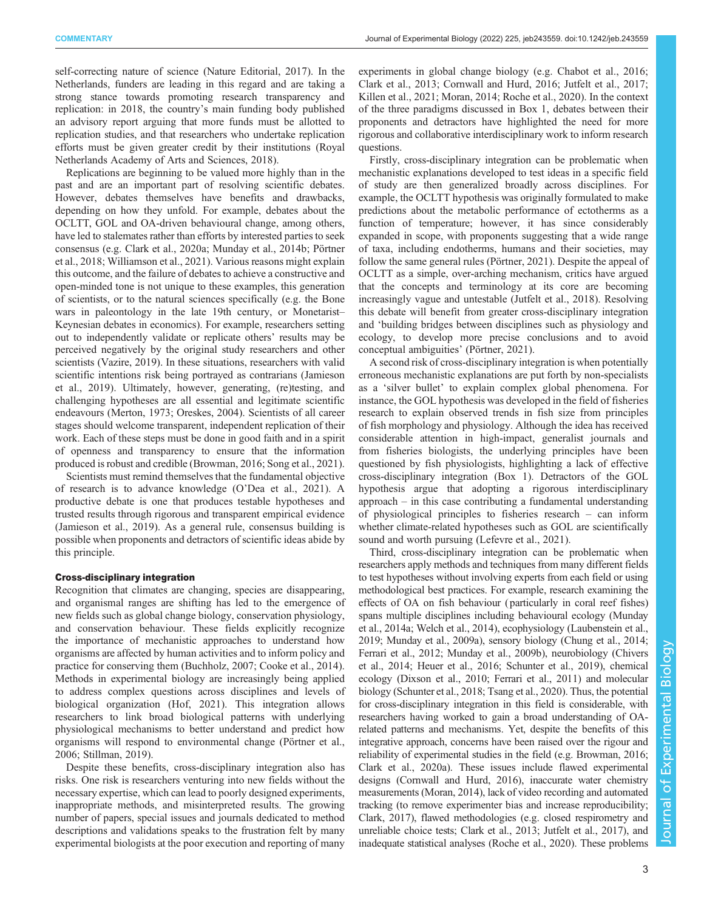self-correcting nature of science ([Nature Editorial, 2017](#page-9-0)). In the Netherlands, funders are leading in this regard and are taking a strong stance towards promoting research transparency and replication: in 2018, the country's main funding body published an advisory report arguing that more funds must be allotted to replication studies, and that researchers who undertake replication efforts must be given greater credit by their institutions (Royal Netherlands Academy of Arts and Sciences, 2018).

Replications are beginning to be valued more highly than in the past and are an important part of resolving scientific debates. However, debates themselves have benefits and drawbacks, depending on how they unfold. For example, debates about the OCLTT, GOL and OA-driven behavioural change, among others, have led to stalemates rather than efforts by interested parties to seek consensus (e.g. [Clark et al., 2020a;](#page-7-0) [Munday et al., 2014b; Pörtner](#page-9-0) [et al., 2018;](#page-9-0) [Williamson et al., 2021\)](#page-10-0). Various reasons might explain this outcome, and the failure of debates to achieve a constructive and open-minded tone is not unique to these examples, this generation of scientists, or to the natural sciences specifically (e.g. the Bone wars in paleontology in the late 19th century, or Monetarist– Keynesian debates in economics). For example, researchers setting out to independently validate or replicate others' results may be perceived negatively by the original study researchers and other scientists ([Vazire, 2019](#page-10-0)). In these situations, researchers with valid scientific intentions risk being portrayed as contrarians ([Jamieson](#page-8-0) [et al., 2019\)](#page-8-0). Ultimately, however, generating, (re)testing, and challenging hypotheses are all essential and legitimate scientific endeavours [\(Merton, 1973](#page-8-0); [Oreskes, 2004\)](#page-9-0). Scientists of all career stages should welcome transparent, independent replication of their work. Each of these steps must be done in good faith and in a spirit of openness and transparency to ensure that the information produced is robust and credible [\(Browman, 2016](#page-7-0); Song et al., 2021).

Scientists must remind themselves that the fundamental objective of research is to advance knowledge (O'[Dea et al., 2021\)](#page-9-0). A productive debate is one that produces testable hypotheses and trusted results through rigorous and transparent empirical evidence [\(Jamieson et al., 2019](#page-8-0)). As a general rule, consensus building is possible when proponents and detractors of scientific ideas abide by this principle.

## Cross-disciplinary integration

Recognition that climates are changing, species are disappearing, and organismal ranges are shifting has led to the emergence of new fields such as global change biology, conservation physiology, and conservation behaviour. These fields explicitly recognize the importance of mechanistic approaches to understand how organisms are affected by human activities and to inform policy and practice for conserving them ([Buchholz, 2007;](#page-7-0) [Cooke et al., 2014\)](#page-8-0). Methods in experimental biology are increasingly being applied to address complex questions across disciplines and levels of biological organization [\(Hof, 2021](#page-8-0)). This integration allows researchers to link broad biological patterns with underlying physiological mechanisms to better understand and predict how organisms will respond to environmental change [\(Pörtner et al.,](#page-9-0) [2006](#page-9-0); [Stillman, 2019](#page-10-0)).

Despite these benefits, cross-disciplinary integration also has risks. One risk is researchers venturing into new fields without the necessary expertise, which can lead to poorly designed experiments, inappropriate methods, and misinterpreted results. The growing number of papers, special issues and journals dedicated to method descriptions and validations speaks to the frustration felt by many experimental biologists at the poor execution and reporting of many

experiments in global change biology (e.g. [Chabot et al., 2016](#page-7-0); [Clark et al., 2013; Cornwall and Hurd, 2016; Jutfelt et al., 2017](#page-8-0); [Killen et al., 2021](#page-8-0); [Moran, 2014; Roche et al., 2020](#page-9-0)). In the context of the three paradigms discussed in [Box 1,](#page-1-0) debates between their proponents and detractors have highlighted the need for more rigorous and collaborative interdisciplinary work to inform research questions.

Firstly, cross-disciplinary integration can be problematic when mechanistic explanations developed to test ideas in a specific field of study are then generalized broadly across disciplines. For example, the OCLTT hypothesis was originally formulated to make predictions about the metabolic performance of ectotherms as a function of temperature; however, it has since considerably expanded in scope, with proponents suggesting that a wide range of taxa, including endotherms, humans and their societies, may follow the same general rules [\(Pörtner, 2021\)](#page-9-0). Despite the appeal of OCLTT as a simple, over-arching mechanism, critics have argued that the concepts and terminology at its core are becoming increasingly vague and untestable [\(Jutfelt et al., 2018](#page-8-0)). Resolving this debate will benefit from greater cross-disciplinary integration and 'building bridges between disciplines such as physiology and ecology, to develop more precise conclusions and to avoid conceptual ambiguities' [\(Pörtner, 2021\)](#page-9-0).

A second risk of cross-disciplinary integration is when potentially erroneous mechanistic explanations are put forth by non-specialists as a 'silver bullet' to explain complex global phenomena. For instance, the GOL hypothesis was developed in the field of fisheries research to explain observed trends in fish size from principles of fish morphology and physiology. Although the idea has received considerable attention in high-impact, generalist journals and from fisheries biologists, the underlying principles have been questioned by fish physiologists, highlighting a lack of effective cross-disciplinary integration [\(Box 1](#page-1-0)). Detractors of the GOL hypothesis argue that adopting a rigorous interdisciplinary approach – in this case contributing a fundamental understanding of physiological principles to fisheries research – can inform whether climate-related hypotheses such as GOL are scientifically sound and worth pursuing [\(Lefevre et al., 2021](#page-8-0)).

Third, cross-disciplinary integration can be problematic when researchers apply methods and techniques from many different fields to test hypotheses without involving experts from each field or using methodological best practices. For example, research examining the effects of OA on fish behaviour (particularly in coral reef fishes) spans multiple disciplines including behavioural ecology [\(Munday](#page-9-0) [et al., 2014a](#page-9-0); [Welch et al., 2014\)](#page-10-0), ecophysiology ([Laubenstein et al.,](#page-8-0) [2019;](#page-8-0) [Munday et al., 2009a\)](#page-9-0), sensory biology ([Chung et al., 2014](#page-7-0); [Ferrari et al., 2012](#page-8-0); [Munday et al., 2009b](#page-9-0)), neurobiology [\(Chivers](#page-7-0) [et al., 2014](#page-7-0); [Heuer et al., 2016;](#page-8-0) [Schunter et al., 2019](#page-9-0)), chemical ecology [\(Dixson et al., 2010](#page-8-0); [Ferrari et al., 2011\)](#page-8-0) and molecular biology [\(Schunter et al., 2018;](#page-9-0) [Tsang et al., 2020\)](#page-10-0). Thus, the potential for cross-disciplinary integration in this field is considerable, with researchers having worked to gain a broad understanding of OArelated patterns and mechanisms. Yet, despite the benefits of this integrative approach, concerns have been raised over the rigour and reliability of experimental studies in the field (e.g. [Browman, 2016](#page-7-0); [Clark et al., 2020a\)](#page-7-0). These issues include flawed experimental designs ([Cornwall and Hurd, 2016\)](#page-8-0), inaccurate water chemistry measurements [\(Moran, 2014\)](#page-9-0), lack of video recording and automated tracking (to remove experimenter bias and increase reproducibility; [Clark, 2017](#page-7-0)), flawed methodologies (e.g. closed respirometry and unreliable choice tests; [Clark et al., 2013](#page-8-0); [Jutfelt et al., 2017\)](#page-8-0), and inadequate statistical analyses [\(Roche et al., 2020\)](#page-9-0). These problems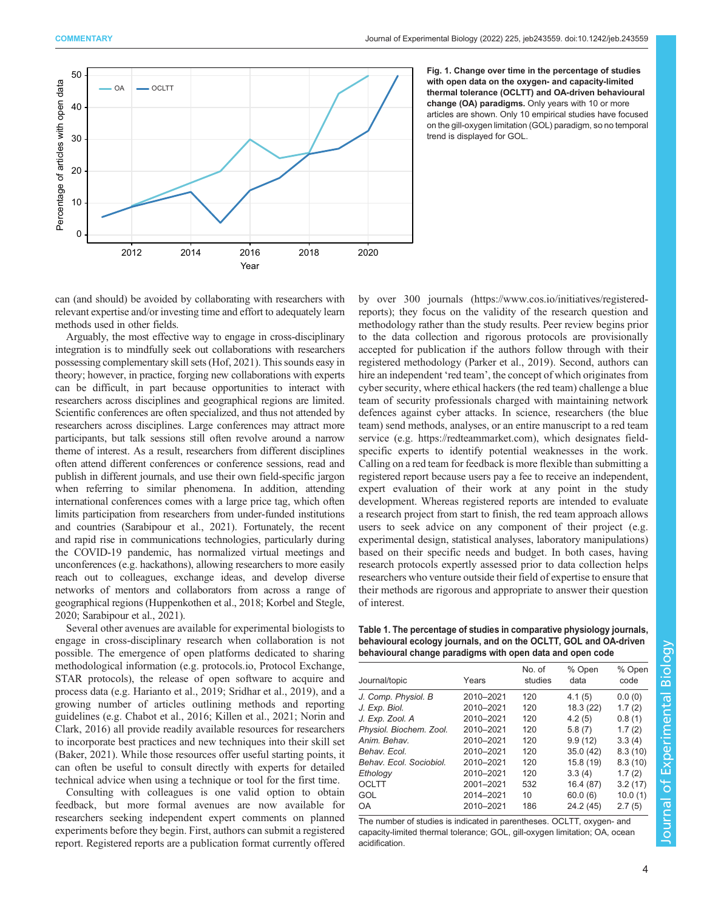<span id="page-3-0"></span>

Fig. 1. Change over time in the percentage of studies with open data on the oxygen- and capacity-limited thermal tolerance (OCLTT) and OA-driven behavioural change (OA) paradigms. Only years with 10 or more articles are shown. Only 10 empirical studies have focused on the gill-oxygen limitation (GOL) paradigm, so no temporal trend is displayed for GOL.

can (and should) be avoided by collaborating with researchers with relevant expertise and/or investing time and effort to adequately learn methods used in other fields.

Arguably, the most effective way to engage in cross-disciplinary integration is to mindfully seek out collaborations with researchers possessing complementary skill sets [\(Hof, 2021\)](#page-8-0). This sounds easy in theory; however, in practice, forging new collaborations with experts can be difficult, in part because opportunities to interact with researchers across disciplines and geographical regions are limited. Scientific conferences are often specialized, and thus not attended by researchers across disciplines. Large conferences may attract more participants, but talk sessions still often revolve around a narrow theme of interest. As a result, researchers from different disciplines often attend different conferences or conference sessions, read and publish in different journals, and use their own field-specific jargon when referring to similar phenomena. In addition, attending international conferences comes with a large price tag, which often limits participation from researchers from under-funded institutions and countries ([Sarabipour et al., 2021](#page-9-0)). Fortunately, the recent and rapid rise in communications technologies, particularly during the COVID-19 pandemic, has normalized virtual meetings and unconferences (e.g. hackathons), allowing researchers to more easily reach out to colleagues, exchange ideas, and develop diverse networks of mentors and collaborators from across a range of geographical regions [\(Huppenkothen et al., 2018; Korbel and Stegle,](#page-8-0) [2020;](#page-8-0) [Sarabipour et al., 2021](#page-9-0)).

Several other avenues are available for experimental biologists to engage in cross-disciplinary research when collaboration is not possible. The emergence of open platforms dedicated to sharing methodological information (e.g. protocols.io, Protocol Exchange, STAR protocols), the release of open software to acquire and process data (e.g. [Harianto et al., 2019;](#page-8-0) [Sridhar et al., 2019\)](#page-10-0), and a growing number of articles outlining methods and reporting guidelines (e.g. [Chabot et al., 2016;](#page-7-0) [Killen et al., 2021](#page-8-0); [Norin and](#page-9-0) [Clark, 2016\)](#page-9-0) all provide readily available resources for researchers to incorporate best practices and new techniques into their skill set [\(Baker, 2021](#page-7-0)). While those resources offer useful starting points, it can often be useful to consult directly with experts for detailed technical advice when using a technique or tool for the first time.

Consulting with colleagues is one valid option to obtain feedback, but more formal avenues are now available for researchers seeking independent expert comments on planned experiments before they begin. First, authors can submit a registered report. Registered reports are a publication format currently offered by over 300 journals ([https://www.cos.io/initiatives/registered](https://www.cos.io/initiatives/registered-reports)[reports\)](https://www.cos.io/initiatives/registered-reports); they focus on the validity of the research question and methodology rather than the study results. Peer review begins prior to the data collection and rigorous protocols are provisionally accepted for publication if the authors follow through with their registered methodology ([Parker et al., 2019](#page-9-0)). Second, authors can hire an independent 'red team', the concept of which originates from cyber security, where ethical hackers (the red team) challenge a blue team of security professionals charged with maintaining network defences against cyber attacks. In science, researchers (the blue team) send methods, analyses, or an entire manuscript to a red team service (e.g.<https://redteammarket.com>), which designates fieldspecific experts to identify potential weaknesses in the work. Calling on a red team for feedback is more flexible than submitting a registered report because users pay a fee to receive an independent, expert evaluation of their work at any point in the study development. Whereas registered reports are intended to evaluate a research project from start to finish, the red team approach allows users to seek advice on any component of their project (e.g. experimental design, statistical analyses, laboratory manipulations) based on their specific needs and budget. In both cases, having research protocols expertly assessed prior to data collection helps researchers who venture outside their field of expertise to ensure that their methods are rigorous and appropriate to answer their question of interest.

Table 1. The percentage of studies in comparative physiology journals, behavioural ecology journals, and on the OCLTT, GOL and OA-driven behavioural change paradigms with open data and open code

| Journal/topic           | Years     | No. of<br>studies | % Open<br>data | % Open<br>code |
|-------------------------|-----------|-------------------|----------------|----------------|
| J. Comp. Physiol. B     | 2010-2021 | 120               | 4.1(5)         | 0.0(0)         |
| J. Exp. Biol.           | 2010-2021 | 120               | 18.3 (22)      | 1.7(2)         |
| J. Exp. Zool. A         | 2010-2021 | 120               | 4.2(5)         | 0.8(1)         |
| Physiol. Biochem. Zool. | 2010-2021 | 120               | 5.8(7)         | 1.7(2)         |
| Anim. Behav.            | 2010-2021 | 120               | 9.9(12)        | 3.3(4)         |
| Behav. Ecol.            | 2010-2021 | 120               | 35.0(42)       | 8.3(10)        |
| Behav. Ecol. Sociobiol. | 2010-2021 | 120               | 15.8(19)       | 8.3(10)        |
| Ethology                | 2010-2021 | 120               | 3.3(4)         | 1.7(2)         |
| OCLTT                   | 2001-2021 | 532               | 16.4(87)       | 3.2(17)        |
| GOL                     | 2014-2021 | 10                | 60.0(6)        | 10.0(1)        |
| OA                      | 2010-2021 | 186               | 24.2 (45)      | 2.7(5)         |
|                         |           |                   |                |                |

The number of studies is indicated in parentheses. OCLTT, oxygen- and capacity-limited thermal tolerance; GOL, gill-oxygen limitation; OA, ocean acidification.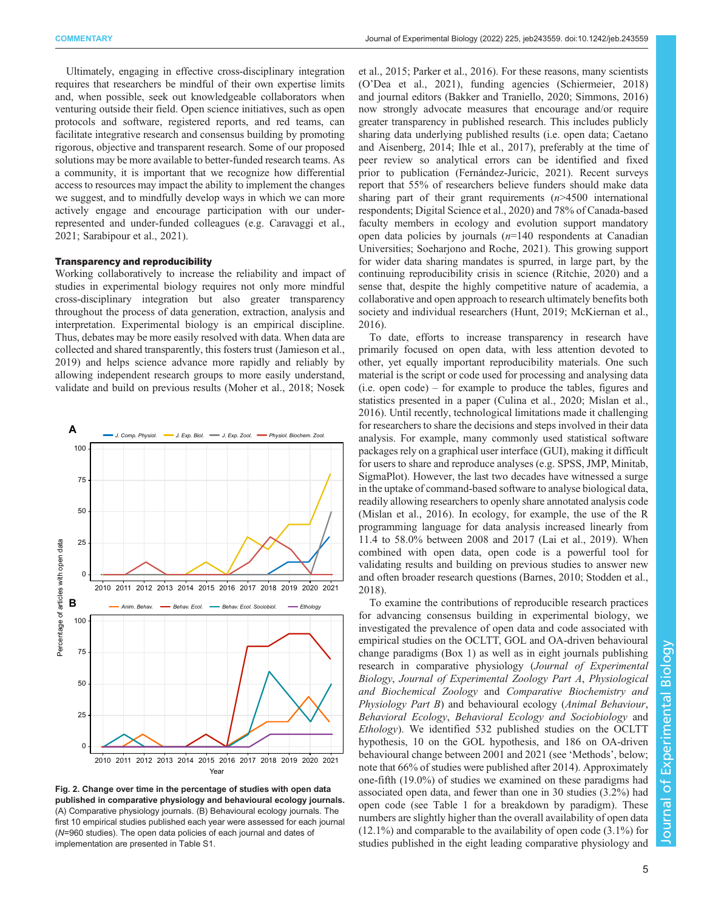<span id="page-4-0"></span>Ultimately, engaging in effective cross-disciplinary integration requires that researchers be mindful of their own expertise limits and, when possible, seek out knowledgeable collaborators when venturing outside their field. Open science initiatives, such as open protocols and software, registered reports, and red teams, can facilitate integrative research and consensus building by promoting rigorous, objective and transparent research. Some of our proposed solutions may be more available to better-funded research teams. As a community, it is important that we recognize how differential access to resources may impact the ability to implement the changes we suggest, and to mindfully develop ways in which we can more actively engage and encourage participation with our underrepresented and under-funded colleagues (e.g. [Caravaggi et al.,](#page-7-0) [2021](#page-7-0); [Sarabipour et al., 2021](#page-9-0)).

## Transparency and reproducibility

Working collaboratively to increase the reliability and impact of studies in experimental biology requires not only more mindful cross-disciplinary integration but also greater transparency throughout the process of data generation, extraction, analysis and interpretation. Experimental biology is an empirical discipline. Thus, debates may be more easily resolved with data. When data are collected and shared transparently, this fosters trust ([Jamieson et al.,](#page-8-0) [2019](#page-8-0)) and helps science advance more rapidly and reliably by allowing independent research groups to more easily understand, validate and build on previous results ([Moher et al., 2018](#page-9-0); [Nosek](#page-9-0)



Fig. 2. Change over time in the percentage of studies with open data published in comparative physiology and behavioural ecology journals. (A) Comparative physiology journals. (B) Behavioural ecology journals. The first 10 empirical studies published each year were assessed for each journal (N=960 studies). The open data policies of each journal and dates of implementation are presented in [Table S1.](https://journals.biologists.com/jeb/article-lookup/DOI/10.1242/jeb.243559)

[et al., 2015](#page-9-0); [Parker et al., 2016](#page-9-0)). For these reasons, many scientists (O'[Dea et al., 2021](#page-9-0)), funding agencies ([Schiermeier, 2018\)](#page-9-0) and journal editors [\(Bakker and Traniello, 2020](#page-7-0); [Simmons, 2016\)](#page-10-0) now strongly advocate measures that encourage and/or require greater transparency in published research. This includes publicly sharing data underlying published results (i.e. open data; [Caetano](#page-7-0) [and Aisenberg, 2014;](#page-7-0) [Ihle et al., 2017\)](#page-8-0), preferably at the time of peer review so analytical errors can be identified and fixed prior to publication [\(Fernández-Juricic, 2021](#page-8-0)). Recent surveys report that 55% of researchers believe funders should make data sharing part of their grant requirements  $(n>4500$  international respondents; Digital Science et al., 2020) and 78% of Canada-based faculty members in ecology and evolution support mandatory open data policies by journals  $(n=140$  respondents at Canadian Universities; [Soeharjono and Roche, 2021\)](#page-10-0). This growing support for wider data sharing mandates is spurred, in large part, by the continuing reproducibility crisis in science ([Ritchie, 2020\)](#page-9-0) and a sense that, despite the highly competitive nature of academia, a collaborative and open approach to research ultimately benefits both society and individual researchers ([Hunt, 2019; McKiernan et al.,](#page-8-0) [2016\)](#page-8-0).

To date, efforts to increase transparency in research have primarily focused on open data, with less attention devoted to other, yet equally important reproducibility materials. One such material is the script or code used for processing and analysing data (i.e. open code) – for example to produce the tables, figures and statistics presented in a paper ([Culina et al., 2020](#page-8-0); [Mislan et al.,](#page-8-0) [2016\)](#page-8-0). Until recently, technological limitations made it challenging for researchers to share the decisions and steps involved in their data analysis. For example, many commonly used statistical software packages rely on a graphical user interface (GUI), making it difficult for users to share and reproduce analyses (e.g. SPSS, JMP, Minitab, SigmaPlot). However, the last two decades have witnessed a surge in the uptake of command-based software to analyse biological data, readily allowing researchers to openly share annotated analysis code [\(Mislan et al., 2016\)](#page-8-0). In ecology, for example, the use of the R programming language for data analysis increased linearly from 11.4 to 58.0% between 2008 and 2017 ([Lai et al., 2019](#page-8-0)). When combined with open data, open code is a powerful tool for validating results and building on previous studies to answer new and often broader research questions ([Barnes, 2010;](#page-7-0) [Stodden et al.,](#page-10-0) [2018\)](#page-10-0).

To examine the contributions of reproducible research practices for advancing consensus building in experimental biology, we investigated the prevalence of open data and code associated with empirical studies on the OCLTT, GOL and OA-driven behavioural change paradigms [\(Box 1\)](#page-1-0) as well as in eight journals publishing research in comparative physiology (Journal of Experimental Biology, Journal of Experimental Zoology Part A, Physiological and Biochemical Zoology and Comparative Biochemistry and Physiology Part B) and behavioural ecology (Animal Behaviour, Behavioral Ecology, Behavioral Ecology and Sociobiology and Ethology). We identified 532 published studies on the OCLTT hypothesis, 10 on the GOL hypothesis, and 186 on OA-driven behavioural change between 2001 and 2021 (see 'Methods', below; note that 66% of studies were published after 2014). Approximately one-fifth (19.0%) of studies we examined on these paradigms had associated open data, and fewer than one in 30 studies (3.2%) had open code (see [Table 1](#page-3-0) for a breakdown by paradigm). These numbers are slightly higher than the overall availability of open data (12.1%) and comparable to the availability of open code (3.1%) for studies published in the eight leading comparative physiology and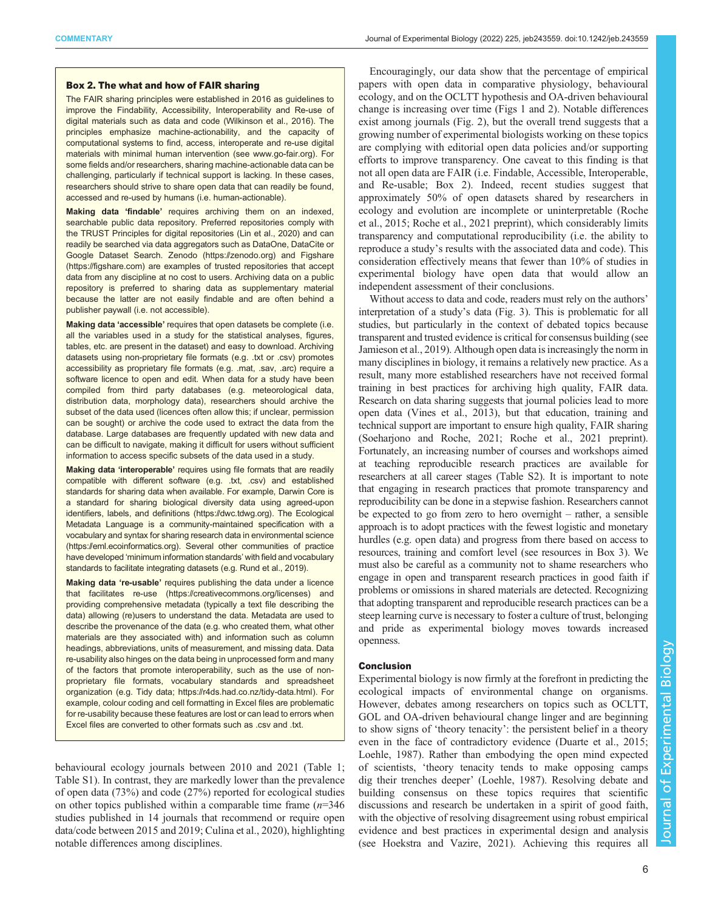## Box 2. The what and how of FAIR sharing

The FAIR sharing principles were established in 2016 as guidelines to improve the Findability, Accessibility, Interoperability and Re-use of digital materials such as data and code ([Wilkinson et al., 2016](#page-10-0)). The principles emphasize machine-actionability, and the capacity of computational systems to find, access, interoperate and re-use digital materials with minimal human intervention (see www.go-fair.org). For some fields and/or researchers, sharing machine-actionable data can be challenging, particularly if technical support is lacking. In these cases, researchers should strive to share open data that can readily be found, accessed and re-used by humans (i.e. human-actionable).

Making data 'findable' requires archiving them on an indexed, searchable public data repository. Preferred repositories comply with the TRUST Principles for digital repositories ([Lin et al., 2020\)](#page-8-0) and can readily be searched via data aggregators such as DataOne, DataCite or Google Dataset Search. Zenodo (https://zenodo.org) and Figshare (https://figshare.com) are examples of trusted repositories that accept data from any discipline at no cost to users. Archiving data on a public repository is preferred to sharing data as supplementary material because the latter are not easily findable and are often behind a publisher paywall (i.e. not accessible).

Making data 'accessible' requires that open datasets be complete (i.e. all the variables used in a study for the statistical analyses, figures, tables, etc. are present in the dataset) and easy to download. Archiving datasets using non-proprietary file formats (e.g. .txt or .csv) promotes accessibility as proprietary file formats (e.g. .mat, .sav, .arc) require a software licence to open and edit. When data for a study have been compiled from third party databases (e.g. meteorological data, distribution data, morphology data), researchers should archive the subset of the data used (licences often allow this; if unclear, permission can be sought) or archive the code used to extract the data from the database. Large databases are frequently updated with new data and can be difficult to navigate, making it difficult for users without sufficient information to access specific subsets of the data used in a study.

Making data 'interoperable' requires using file formats that are readily compatible with different software (e.g. .txt, .csv) and established standards for sharing data when available. For example, Darwin Core is a standard for sharing biological diversity data using agreed-upon identifiers, labels, and definitions (https://dwc.tdwg.org). The Ecological Metadata Language is a community-maintained specification with a vocabulary and syntax for sharing research data in environmental science (https://eml.ecoinformatics.org). Several other communities of practice have developed 'minimum information standards' with field and vocabulary standards to facilitate integrating datasets (e.g. Rund et al., 2019).

Making data 're-usable' requires publishing the data under a licence that facilitates re-use (https://creativecommons.org/licenses) and providing comprehensive metadata (typically a text file describing the data) allowing (re)users to understand the data. Metadata are used to describe the provenance of the data (e.g. who created them, what other materials are they associated with) and information such as column headings, abbreviations, units of measurement, and missing data. Data re-usability also hinges on the data being in unprocessed form and many of the factors that promote interoperability, such as the use of nonproprietary file formats, vocabulary standards and spreadsheet organization (e.g. Tidy data; https://r4ds.had.co.nz/tidy-data.html). For example, colour coding and cell formatting in Excel files are problematic for re-usability because these features are lost or can lead to errors when Excel files are converted to other formats such as .csv and .txt.

behavioural ecology journals between 2010 and 2021 [\(Table 1](#page-3-0); [Table S1\)](https://journals.biologists.com/jeb/article-lookup/DOI/10.1242/jeb.243559). In contrast, they are markedly lower than the prevalence of open data (73%) and code (27%) reported for ecological studies on other topics published within a comparable time frame  $(n=346)$ studies published in 14 journals that recommend or require open data/code between 2015 and 2019; [Culina et al., 2020\)](#page-8-0), highlighting notable differences among disciplines.

Encouragingly, our data show that the percentage of empirical papers with open data in comparative physiology, behavioural ecology, and on the OCLTT hypothesis and OA-driven behavioural change is increasing over time ([Figs 1](#page-3-0) and [2\)](#page-4-0). Notable differences exist among journals [\(Fig. 2](#page-4-0)), but the overall trend suggests that a growing number of experimental biologists working on these topics are complying with editorial open data policies and/or supporting efforts to improve transparency. One caveat to this finding is that not all open data are FAIR (i.e. Findable, Accessible, Interoperable, and Re-usable; Box 2). Indeed, recent studies suggest that approximately 50% of open datasets shared by researchers in ecology and evolution are incomplete or uninterpretable [\(Roche](#page-9-0) [et al., 2015; Roche et al., 2021](#page-9-0) preprint), which considerably limits transparency and computational reproducibility (i.e. the ability to reproduce a study's results with the associated data and code). This consideration effectively means that fewer than 10% of studies in experimental biology have open data that would allow an independent assessment of their conclusions.

Without access to data and code, readers must rely on the authors' interpretation of a study's data ([Fig. 3](#page-6-0)). This is problematic for all studies, but particularly in the context of debated topics because transparent and trusted evidence is critical for consensus building (see [Jamieson et al., 2019\)](#page-8-0). Although open data is increasingly the norm in many disciplines in biology, it remains a relatively new practice. As a result, many more established researchers have not received formal training in best practices for archiving high quality, FAIR data. Research on data sharing suggests that journal policies lead to more open data ([Vines et al., 2013\)](#page-10-0), but that education, training and technical support are important to ensure high quality, FAIR sharing [\(Soeharjono and Roche, 2021;](#page-10-0) [Roche et al., 2021](#page-9-0) preprint). Fortunately, an increasing number of courses and workshops aimed at teaching reproducible research practices are available for researchers at all career stages ([Table S2](https://journals.biologists.com/jeb/article-lookup/DOI/10.1242/jeb.243559)). It is important to note that engaging in research practices that promote transparency and reproducibility can be done in a stepwise fashion. Researchers cannot be expected to go from zero to hero overnight – rather, a sensible approach is to adopt practices with the fewest logistic and monetary hurdles (e.g. open data) and progress from there based on access to resources, training and comfort level (see resources in [Box 3\)](#page-7-0). We must also be careful as a community not to shame researchers who engage in open and transparent research practices in good faith if problems or omissions in shared materials are detected. Recognizing that adopting transparent and reproducible research practices can be a steep learning curve is necessary to foster a culture of trust, belonging and pride as experimental biology moves towards increased openness.

## Conclusion

Experimental biology is now firmly at the forefront in predicting the ecological impacts of environmental change on organisms. However, debates among researchers on topics such as OCLTT, GOL and OA-driven behavioural change linger and are beginning to show signs of 'theory tenacity': the persistent belief in a theory even in the face of contradictory evidence [\(Duarte et al., 2015](#page-8-0); [Loehle, 1987\)](#page-8-0). Rather than embodying the open mind expected of scientists, 'theory tenacity tends to make opposing camps dig their trenches deeper' [\(Loehle, 1987\)](#page-8-0). Resolving debate and building consensus on these topics requires that scientific discussions and research be undertaken in a spirit of good faith, with the objective of resolving disagreement using robust empirical evidence and best practices in experimental design and analysis (see [Hoekstra and Vazire, 2021](#page-8-0)). Achieving this requires all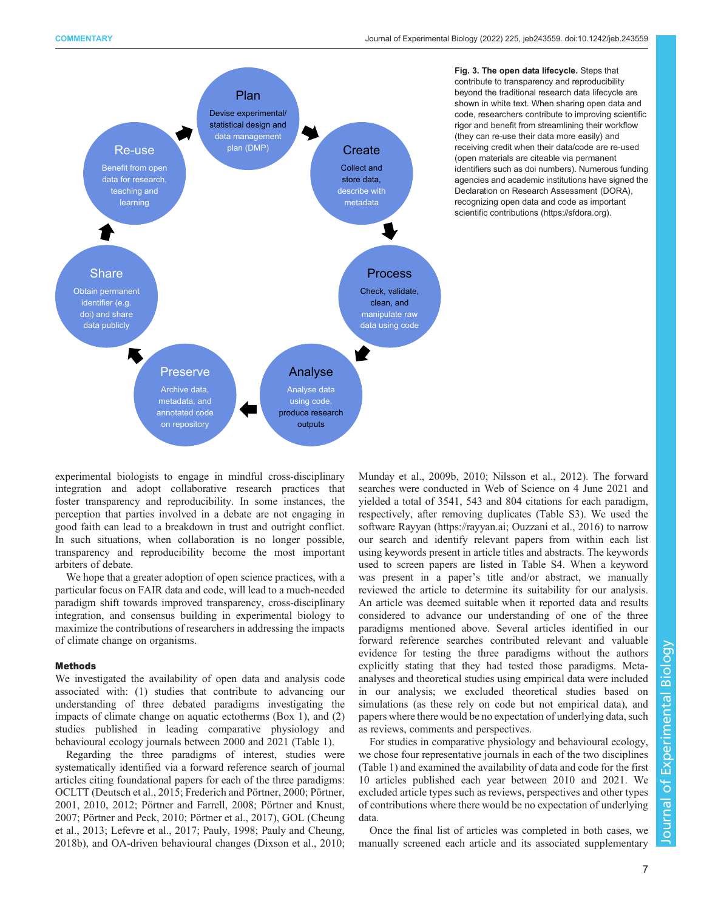<span id="page-6-0"></span>

Fig. 3. The open data lifecycle. Steps that contribute to transparency and reproducibility beyond the traditional research data lifecycle are shown in white text. When sharing open data and code, researchers contribute to improving scientific rigor and benefit from streamlining their workflow (they can re-use their data more easily) and receiving credit when their data/code are re-used (open materials are citeable via permanent identifiers such as doi numbers). Numerous funding agencies and academic institutions have signed the Declaration on Research Assessment (DORA), recognizing open data and code as important scientific contributions ([https://sfdora.org\)](https://sfdora.org).

experimental biologists to engage in mindful cross-disciplinary integration and adopt collaborative research practices that foster transparency and reproducibility. In some instances, the perception that parties involved in a debate are not engaging in good faith can lead to a breakdown in trust and outright conflict. In such situations, when collaboration is no longer possible, transparency and reproducibility become the most important arbiters of debate.

We hope that a greater adoption of open science practices, with a particular focus on FAIR data and code, will lead to a much-needed paradigm shift towards improved transparency, cross-disciplinary integration, and consensus building in experimental biology to maximize the contributions of researchers in addressing the impacts of climate change on organisms.

## Methods

We investigated the availability of open data and analysis code associated with: (1) studies that contribute to advancing our understanding of three debated paradigms investigating the impacts of climate change on aquatic ectotherms [\(Box 1](#page-1-0)), and (2) studies published in leading comparative physiology and behavioural ecology journals between 2000 and 2021 ([Table 1\)](#page-3-0).

Regarding the three paradigms of interest, studies were systematically identified via a forward reference search of journal articles citing foundational papers for each of the three paradigms: OCLTT ([Deutsch et al., 2015; Frederich and Pörtner, 2000](#page-8-0); [Pörtner,](#page-9-0) [2001](#page-9-0), [2010, 2012; Pörtner and Farrell, 2008; Pörtner and Knust,](#page-9-0) [2007](#page-9-0); [Pörtner and Peck, 2010](#page-9-0); [Pörtner et al., 2017\)](#page-9-0), GOL [\(Cheung](#page-7-0) [et al., 2013](#page-7-0); [Lefevre et al., 2017](#page-8-0); [Pauly, 1998](#page-9-0); [Pauly and Cheung,](#page-9-0) [2018b\)](#page-9-0), and OA-driven behavioural changes ([Dixson et al., 2010](#page-8-0);

[Munday et al., 2009b, 2010](#page-9-0); [Nilsson et al., 2012\)](#page-9-0). The forward searches were conducted in Web of Science on 4 June 2021 and yielded a total of 3541, 543 and 804 citations for each paradigm, respectively, after removing duplicates [\(Table S3\)](https://journals.biologists.com/jeb/article-lookup/DOI/10.1242/jeb.243559). We used the software Rayyan (<https://rayyan.ai>; [Ouzzani et al., 2016\)](#page-9-0) to narrow our search and identify relevant papers from within each list using keywords present in article titles and abstracts. The keywords used to screen papers are listed in [Table S4](https://journals.biologists.com/jeb/article-lookup/DOI/10.1242/jeb.243559). When a keyword was present in a paper's title and/or abstract, we manually reviewed the article to determine its suitability for our analysis. An article was deemed suitable when it reported data and results considered to advance our understanding of one of the three paradigms mentioned above. Several articles identified in our forward reference searches contributed relevant and valuable evidence for testing the three paradigms without the authors explicitly stating that they had tested those paradigms. Metaanalyses and theoretical studies using empirical data were included in our analysis; we excluded theoretical studies based on simulations (as these rely on code but not empirical data), and papers where there would be no expectation of underlying data, such as reviews, comments and perspectives.

For studies in comparative physiology and behavioural ecology, we chose four representative journals in each of the two disciplines [\(Table 1](#page-3-0)) and examined the availability of data and code for the first 10 articles published each year between 2010 and 2021. We excluded article types such as reviews, perspectives and other types of contributions where there would be no expectation of underlying data.

Once the final list of articles was completed in both cases, we manually screened each article and its associated supplementary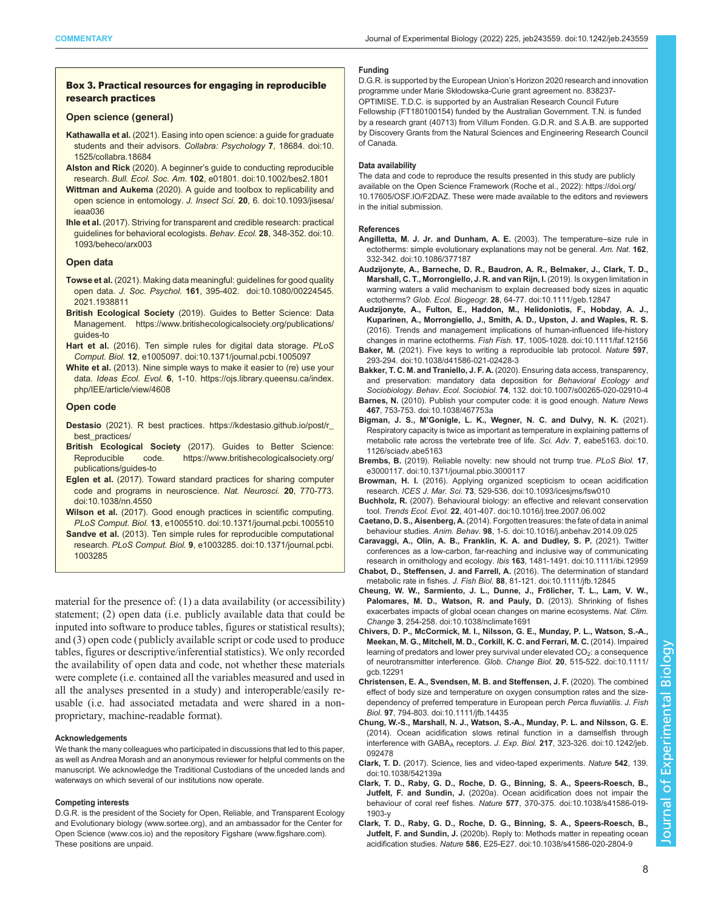## <span id="page-7-0"></span>Box 3. Practical resources for engaging in reproducible research practices

#### Open science (general)

- Kathawalla et al. (2021). Easing into open science: a guide for graduate students and their advisors. Collabra: Psychology 7, 18684. [doi:10.](https://doi.org/10.1525/collabra.18684) [1525/collabra.18684](https://doi.org/10.1525/collabra.18684)
- Alston and Rick (2020). A beginner's guide to conducting reproducible research. Bull. Ecol. Soc. Am. 102, e01801. [doi:10.1002/bes2.1801](https://doi.org/10.1002/bes2.1801)
- Wittman and Aukema (2020). A guide and toolbox to replicability and open science in entomology. J. Insect Sci. 20, 6. [doi:10.1093/jisesa/](https://doi.org/10.1093/jisesa/ieaa036) [ieaa036](https://doi.org/10.1093/jisesa/ieaa036)
- [Ihle et al.](#page-8-0) (2017). Striving for transparent and credible research: practical guidelines for behavioral ecologists. Behav. Ecol. 28, 348-352. [doi:10.](https://doi.org/10.1093/beheco/arx003) [1093/beheco/arx003](https://doi.org/10.1093/beheco/arx003)

## Open data

- Towse et al. (2021). Making data meaningful: guidelines for good quality open data. J. Soc. Psychol. 161, 395-402. [doi:10.1080/00224545.](https://doi.org/10.1080/00224545.2021.1938811) [2021.1938811](https://doi.org/10.1080/00224545.2021.1938811)
- British Ecological Society (2019). Guides to Better Science: Data Management. [https://www.britishecologicalsociety.org/publications/](https://www.britishecologicalsociety.org/publications/guides-to) [guides-to](https://www.britishecologicalsociety.org/publications/guides-to)
- Hart et al. (2016). Ten simple rules for digital data storage. PLoS Comput. Biol. 12, e1005097. [doi:10.1371/journal.pcbi.1005097](https://doi.org/10.1371/journal.pcbi.1005097)
- White et al. (2013). Nine simple ways to make it easier to (re) use your data. Ideas Ecol. Evol. 6, 1-10. [https://ojs.library.queensu.ca/index.](https://ojs.library.queensu.ca/index.php/IEE/article/view/4608) [php/IEE/article/view/4608](https://ojs.library.queensu.ca/index.php/IEE/article/view/4608)

## Open code

- Destasio (2021). R best practices. [https://kdestasio.github.io/post/r\\_](https://kdestasio.github.io/post/r_best_practices/) [best\\_practices/](https://kdestasio.github.io/post/r_best_practices/)
- British Ecological Society (2017). Guides to Better Science: Reproducible code. [https://www.britishecologicalsociety.org/](https://www.britishecologicalsociety.org/publications/guides-to) [publications/guides-to](https://www.britishecologicalsociety.org/publications/guides-to)
- Eglen et al. (2017). Toward standard practices for sharing computer code and programs in neuroscience. Nat. Neurosci. 20, 770-773. [doi:10.1038/nn.4550](https://doi.org/10.1038/nn.4550)
- Wilson et al. (2017). Good enough practices in scientific computing. PLoS Comput. Biol. 13, e1005510. [doi:10.1371/journal.pcbi.1005510](https://doi.org/10.1371/journal.pcbi.1005510)
- Sandve et al. (2013). Ten simple rules for reproducible computational research. PLoS Comput. Biol. 9, e1003285. [doi:10.1371/journal.pcbi.](https://doi.org/10.1371/journal.pcbi.1003285) [1003285](https://doi.org/10.1371/journal.pcbi.1003285)

material for the presence of: (1) a data availability (or accessibility) statement; (2) open data (i.e. publicly available data that could be inputed into software to produce tables, figures or statistical results); and (3) open code ( publicly available script or code used to produce tables, figures or descriptive/inferential statistics). We only recorded the availability of open data and code, not whether these materials were complete (i.e. contained all the variables measured and used in all the analyses presented in a study) and interoperable/easily reusable (i.e. had associated metadata and were shared in a nonproprietary, machine-readable format).

#### Acknowledgements

We thank the many colleagues who participated in discussions that led to this paper, as well as Andrea Morash and an anonymous reviewer for helpful comments on the manuscript. We acknowledge the Traditional Custodians of the unceded lands and waterways on which several of our institutions now operate.

## Competing interests

D.G.R. is the president of the Society for Open, Reliable, and Transparent Ecology and Evolutionary biology ([www.sortee.org\)](http://www.sortee.org), and an ambassador for the Center for Open Science (www.cos.io) and the repository Figshare ([www.figshare.com](http://www.figshare.com)). These positions are unpaid.

#### Funding

D.G.R. is supported by the European Union's Horizon 2020 research and innovation programme under Marie Skłodowska-Curie grant agreement no. 838237- OPTIMISE. T.D.C. is supported by an Australian Research Council Future Fellowship (FT180100154) funded by the Australian Government. T.N. is funded by a research grant (40713) from Villum Fonden. G.D.R. and S.A.B. are supported by Discovery Grants from the Natural Sciences and Engineering Research Council of Canada.

## Data availability

The data and code to reproduce the results presented in this study are publicly available on the Open Science Framework (Roche et al., 2022): [https://doi.org/](https://doi.org/10.17605/OSF.IO/F2DAZ) [10.17605/OSF.IO/F2DAZ](https://doi.org/10.17605/OSF.IO/F2DAZ). These were made available to the editors and reviewers in the initial submission.

#### References

- [Angilletta, M. J. Jr. and Dunham, A. E.](https://doi.org/10.1086/377187) (2003). The temperature–size rule in [ectotherms: simple evolutionary explanations may not be general.](https://doi.org/10.1086/377187) Am. Nat. 162, [332-342. doi:10.1086/377187](https://doi.org/10.1086/377187)
- [Audzijonyte, A., Barneche, D. R., Baudron, A. R., Belmaker, J., Clark, T. D.,](https://doi.org/10.1111/geb.12847) [Marshall, C. T., Morrongiello, J. R. and van Rijn, I.](https://doi.org/10.1111/geb.12847) (2019). Is oxygen limitation in [warming waters a valid mechanism to explain decreased body sizes in aquatic](https://doi.org/10.1111/geb.12847) ectotherms? Glob. Ecol. Biogeogr. 28[, 64-77. doi:10.1111/geb.12847](https://doi.org/10.1111/geb.12847)

[Audzijonyte, A., Fulton, E., Haddon, M., Helidoniotis, F., Hobday, A. J.,](https://doi.org/10.1111/faf.12156) [Kuparinen, A., Morrongiello, J., Smith, A. D., Upston, J. and Waples, R. S.](https://doi.org/10.1111/faf.12156) [\(2016\). Trends and management implications of human-influenced life-history](https://doi.org/10.1111/faf.12156) changes in marine ectotherms. Fish Fish. 17[, 1005-1028. doi:10.1111/faf.12156](https://doi.org/10.1111/faf.12156)

- Baker, M. [\(2021\). Five keys to writing a reproducible lab protocol.](https://doi.org/10.1038/d41586-021-02428-3) Nature 597, [293-294. doi:10.1038/d41586-021-02428-3](https://doi.org/10.1038/d41586-021-02428-3)
- Bakker, T. C. M. and Traniello, J. F. A. [\(2020\). Ensuring data access, transparency,](https://doi.org/10.1007/s00265-020-02910-4) [and preservation: mandatory data deposition for](https://doi.org/10.1007/s00265-020-02910-4) Behavioral Ecology and Sociobiology. Behav. Ecol. Sociobiol. 74[, 132. doi:10.1007/s00265-020-02910-4](https://doi.org/10.1007/s00265-020-02910-4)
- Barnes, N. [\(2010\). Publish your computer code: it is good enough.](https://doi.org/10.1038/467753a) Nature News 467[, 753-753. doi:10.1038/467753a](https://doi.org/10.1038/467753a)
- Bigman, J. S., M'[Gonigle, L. K., Wegner, N. C. and Dulvy, N. K.](https://doi.org/10.1126/sciadv.abe5163) (2021). [Respiratory capacity is twice as important as temperature in explaining patterns of](https://doi.org/10.1126/sciadv.abe5163) [metabolic rate across the vertebrate tree of life.](https://doi.org/10.1126/sciadv.abe5163) Sci. Adv. 7, eabe5163. doi:10. [1126/sciadv.abe5163](https://doi.org/10.1126/sciadv.abe5163)
- Brembs, B. [\(2019\). Reliable novelty: new should not trump true.](https://doi.org/10.1371/journal.pbio.3000117) PLoS Biol. 17, [e3000117. doi:10.1371/journal.pbio.3000117](https://doi.org/10.1371/journal.pbio.3000117)
- Browman, H. I. [\(2016\). Applying organized scepticism to ocean acidification](https://doi.org/10.1093/icesjms/fsw010) research. ICES J. Mar. Sci. 73[, 529-536. doi:10.1093/icesjms/fsw010](https://doi.org/10.1093/icesjms/fsw010)
- Buchholz, R. [\(2007\). Behavioural biology: an effective and relevant conservation](https://doi.org/10.1016/j.tree.2007.06.002) tool. Trends Ecol. Evol. 22[, 401-407. doi:10.1016/j.tree.2007.06.002](https://doi.org/10.1016/j.tree.2007.06.002)
- Caetano, D. S., Aisenberg, A. [\(2014\). Forgotten treasures: the fate of data in animal](https://doi.org/10.1016/j.anbehav.2014.09.025) behaviour studies. Anim. Behav. 98[, 1-5. doi:10.1016/j.anbehav.2014.09.025](https://doi.org/10.1016/j.anbehav.2014.09.025)

[Caravaggi, A., Olin, A. B., Franklin, K. A. and Dudley, S. P.](https://doi.org/10.1111/ibi.12959) (2021). Twitter [conferences as a low-carbon, far-reaching and inclusive way of communicating](https://doi.org/10.1111/ibi.12959) [research in ornithology and ecology.](https://doi.org/10.1111/ibi.12959) Ibis 163, 1481-1491. doi:10.1111/ibi.12959

- [Chabot, D., Steffensen, J. and Farrell, A.](https://doi.org/10.1111/jfb.12845) (2016). The determination of standard metabolic rate in fishes. J. Fish Biol. 88[, 81-121. doi:10.1111/jfb.12845](https://doi.org/10.1111/jfb.12845)
- Cheung, W. W., Sarmiento, J. L., Dunne, J., Frölicher, T. L., Lam, V. W., [Palomares, M. D., Watson, R. and Pauly, D.](https://doi.org/10.1038/nclimate1691) (2013). Shrinking of fishes [exacerbates impacts of global ocean changes on marine ecosystems.](https://doi.org/10.1038/nclimate1691) Nat. Clim. Change 3[, 254-258. doi:10.1038/nclimate1691](https://doi.org/10.1038/nclimate1691)
- [Chivers, D. P., McCormick, M. I., Nilsson, G. E., Munday, P. L., Watson, S.-A.,](https://doi.org/10.1111/gcb.12291) [Meekan, M. G., Mitchell, M. D., Corkill, K. C. and Ferrari, M. C.](https://doi.org/10.1111/gcb.12291) (2014). Impaired learning of predators and lower prey survival under elevated  $CO<sub>2</sub>$ : a consequence [of neurotransmitter interference.](https://doi.org/10.1111/gcb.12291) Glob. Change Biol. 20, 515-522. doi:10.1111/ [gcb.12291](https://doi.org/10.1111/gcb.12291)
- [Christensen, E. A., Svendsen, M. B. and Steffensen, J. F.](https://doi.org/10.1111/jfb.14435) (2020). The combined [effect of body size and temperature on oxygen consumption rates and the size](https://doi.org/10.1111/jfb.14435)[dependency of preferred temperature in European perch](https://doi.org/10.1111/jfb.14435) Perca fluviatilis. J. Fish Biol. 97[, 794-803. doi:10.1111/jfb.14435](https://doi.org/10.1111/jfb.14435)
- [Chung, W.-S., Marshall, N. J., Watson, S.-A., Munday, P. L. and Nilsson, G. E.](https://doi.org/10.1242/jeb.092478) [\(2014\). Ocean acidification slows retinal function in a damselfish through](https://doi.org/10.1242/jeb.092478) interference with GABA<sub>A</sub> receptors. J. Exp. Biol. 217[, 323-326. doi:10.1242/jeb.](https://doi.org/10.1242/jeb.092478) [092478](https://doi.org/10.1242/jeb.092478)
- Clark, T. D. [\(2017\). Science, lies and video-taped experiments.](https://doi.org/10.1038/542139a) Nature 542, 139. [doi:10.1038/542139a](https://doi.org/10.1038/542139a)
- [Clark, T. D., Raby, G. D., Roche, D. G., Binning, S. A., Speers-Roesch, B.,](https://doi.org/10.1038/s41586-019-1903-y) Jutfelt, F. and Sundin, J. [\(2020a\). Ocean acidification does not impair the](https://doi.org/10.1038/s41586-019-1903-y) behaviour of coral reef fishes. Nature 577[, 370-375. doi:10.1038/s41586-019-](https://doi.org/10.1038/s41586-019-1903-y) [1903-y](https://doi.org/10.1038/s41586-019-1903-y)
- [Clark, T. D., Raby, G. D., Roche, D. G., Binning, S. A., Speers-Roesch, B.,](https://doi.org/10.1038/s41586-020-2804-9) Jutfelt, F. and Sundin, J. [\(2020b\). Reply to: Methods matter in repeating ocean](https://doi.org/10.1038/s41586-020-2804-9) acidification studies. Nature 586[, E25-E27. doi:10.1038/s41586-020-2804-9](https://doi.org/10.1038/s41586-020-2804-9)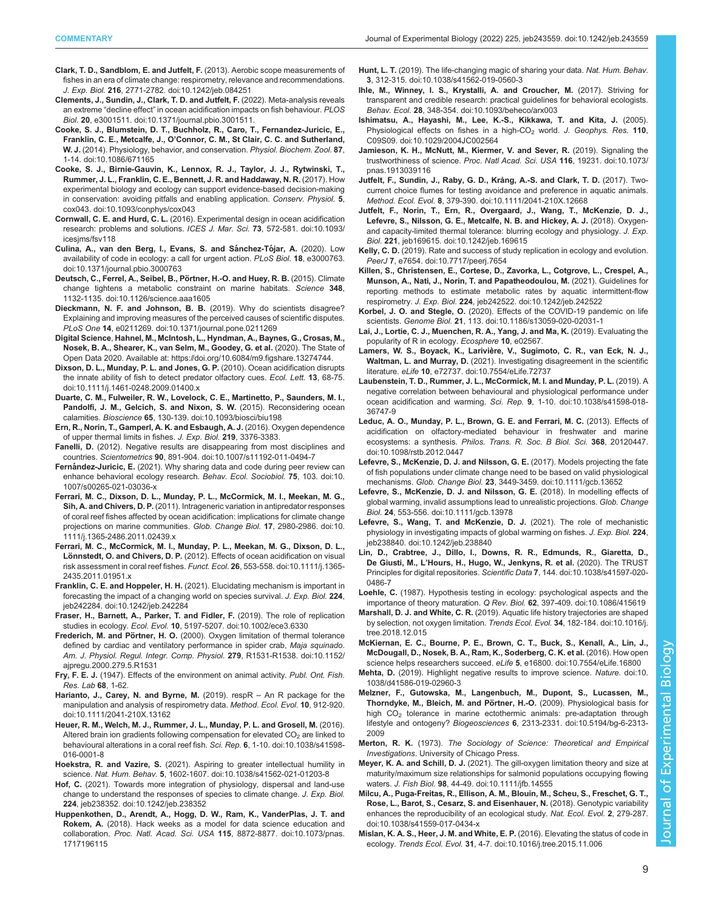- <span id="page-8-0"></span>[Clark, T. D., Sandblom, E. and Jutfelt, F.](https://doi.org/10.1242/jeb.084251) (2013). Aerobic scope measurements of [fishes in an era of climate change: respirometry, relevance and recommendations.](https://doi.org/10.1242/jeb.084251) J. Exp. Biol. 216[, 2771-2782. doi:10.1242/jeb.084251](https://doi.org/10.1242/jeb.084251)
- [Clements, J., Sundin, J., Clark, T. D. and Jutfelt, F.](https://doi.org/10.1371/journal.pbio.3001511) (2022). Meta-analysis reveals an extreme "decline effect" [in ocean acidification impacts on fish behaviour.](https://doi.org/10.1371/journal.pbio.3001511) PLOS Biol. 20[, e3001511. doi:10.1371/journal.pbio.3001511.](https://doi.org/10.1371/journal.pbio.3001511)
- [Cooke, S. J., Blumstein, D. T., Buchholz, R., Caro, T., Fernandez-Juricic, E.,](https://doi.org/10.1086/671165) Franklin, C. E., Metcalfe, J., O'[Connor, C. M., St Clair, C. C. and Sutherland,](https://doi.org/10.1086/671165) W. J. [\(2014\). Physiology, behavior, and conservation.](https://doi.org/10.1086/671165) Physiol. Biochem. Zool. 87, [1-14. doi:10.1086/671165](https://doi.org/10.1086/671165)
- [Cooke, S. J., Birnie-Gauvin, K., Lennox, R. J., Taylor, J. J., Rytwinski, T.,](https://doi.org/10.1093/conphys/cox043) [Rummer, J. L., Franklin, C. E., Bennett, J. R. and Haddaway, N. R.](https://doi.org/10.1093/conphys/cox043) (2017). How [experimental biology and ecology can support evidence-based decision-making](https://doi.org/10.1093/conphys/cox043) [in conservation: avoiding pitfalls and enabling application.](https://doi.org/10.1093/conphys/cox043) Conserv. Physiol. 5, [cox043. doi:10.1093/conphys/cox043](https://doi.org/10.1093/conphys/cox043)
- Cornwall, C. E. and Hurd, C. L. [\(2016\). Experimental design in ocean acidification](https://doi.org/10.1093/icesjms/fsv118) [research: problems and solutions.](https://doi.org/10.1093/icesjms/fsv118) ICES J. Mar. Sci. 73, 572-581. doi:10.1093/ [icesjms/fsv118](https://doi.org/10.1093/icesjms/fsv118)
- Culina, A., van den Berg, I., Evans, S. and Sánchez-Tójar, A. (2020). Low [availability of code in ecology: a call for urgent action.](https://doi.org/10.1371/journal.pbio.3000763) PLoS Biol. 18, e3000763. [doi:10.1371/journal.pbio.3000763](https://doi.org/10.1371/journal.pbio.3000763)
- [Deutsch, C., Ferrel, A., Seibel, B., Po](https://doi.org/10.1126/science.aaa1605)̈rtner, H.-O. and Huey, R. B. (2015). Climate [change tightens a metabolic constraint on marine habitats.](https://doi.org/10.1126/science.aaa1605) Science 348, [1132-1135. doi:10.1126/science.aaa1605](https://doi.org/10.1126/science.aaa1605)
- [Dieckmann, N. F. and Johnson, B. B.](https://doi.org/10.1371/journal.pone.0211269) (2019). Why do scientists disagree? [Explaining and improving measures of the perceived causes of scientific disputes.](https://doi.org/10.1371/journal.pone.0211269) PLoS One 14[, e0211269. doi:10.1371/journal.pone.0211269](https://doi.org/10.1371/journal.pone.0211269)
- Digital Science, Hahnel, M., McIntosh, L., Hyndman, A., Baynes, G., Crosas, M., Nosek, B. A., Shearer, K., van Selm, M., Goodey, G. et al. (2020). The State of Open Data 2020. Available at:<https://doi.org/10.6084/m9.figshare.13274744>.
- [Dixson, D. L., Munday, P. L. and Jones, G. P.](https://doi.org/10.1111/j.1461-0248.2009.01400.x) (2010). Ocean acidification disrupts [the innate ability of fish to detect predator olfactory cues.](https://doi.org/10.1111/j.1461-0248.2009.01400.x) Ecol. Lett. 13, 68-75. [doi:10.1111/j.1461-0248.2009.01400.x](https://doi.org/10.1111/j.1461-0248.2009.01400.x)
- [Duarte, C. M., Fulweiler, R. W., Lovelock, C. E., Martinetto, P., Saunders, M. I.,](https://doi.org/10.1093/biosci/biu198) [Pandolfi, J. M., Gelcich, S. and Nixon, S. W.](https://doi.org/10.1093/biosci/biu198) (2015). Reconsidering ocean calamities. Bioscience 65[, 130-139. doi:10.1093/biosci/biu198](https://doi.org/10.1093/biosci/biu198)
- Ern, R., Norin, T., Gamperl, A. K. and Esbaugh, A. J. (2016). Oxygen dependence of upper thermal limits in fishes. J. Exp. Biol. 219, 3376-3383.
- Fanelli, D. [\(2012\). Negative results are disappearing from most disciplines and](https://doi.org/10.1007/s11192-011-0494-7) countries. Scientometrics 90[, 891-904. doi:10.1007/s11192-011-0494-7](https://doi.org/10.1007/s11192-011-0494-7)
- Fernández-Juricic, E. [\(2021\). Why sharing data and code during peer review can](https://doi.org/10.1007/s00265-021-03036-x) [enhance behavioral ecology research.](https://doi.org/10.1007/s00265-021-03036-x) Behav. Ecol. Sociobiol. 75, 103. doi:10. [1007/s00265-021-03036-x](https://doi.org/10.1007/s00265-021-03036-x)
- [Ferrari, M. C., Dixson, D. L., Munday, P. L., McCormick, M. I., Meekan, M. G.,](https://doi.org/10.1111/j.1365-2486.2011.02439.x) Sih, A. and Chivers, D. P. [\(2011\). Intrageneric variation in antipredator responses](https://doi.org/10.1111/j.1365-2486.2011.02439.x) [of coral reef fishes affected by ocean acidification: implications for climate change](https://doi.org/10.1111/j.1365-2486.2011.02439.x) [projections on marine communities.](https://doi.org/10.1111/j.1365-2486.2011.02439.x) Glob. Change Biol. 17, 2980-2986. doi:10. [1111/j.1365-2486.2011.02439.x](https://doi.org/10.1111/j.1365-2486.2011.02439.x)
- [Ferrari, M. C., McCormick, M. I., Munday, P. L., Meekan, M. G., Dixson, D. L.,](https://doi.org/10.1111/j.1365-2435.2011.01951.x) Lönnstedt, O. and Chivers, D. P. [\(2012\). Effects of ocean acidification on visual](https://doi.org/10.1111/j.1365-2435.2011.01951.x) [risk assessment in coral reef fishes.](https://doi.org/10.1111/j.1365-2435.2011.01951.x) Funct. Ecol. 26, 553-558. doi:10.1111/j.1365- [2435.2011.01951.x](https://doi.org/10.1111/j.1365-2435.2011.01951.x)
- Franklin, C. E. and Hoppeler, H. H. [\(2021\). Elucidating mechanism is important in](https://doi.org/10.1242/jeb.242284) [forecasting the impact of a changing world on species survival.](https://doi.org/10.1242/jeb.242284) J. Exp. Biol. 224, [jeb242284. doi:10.1242/jeb.242284](https://doi.org/10.1242/jeb.242284)
- [Fraser, H., Barnett, A., Parker, T. and Fidler, F.](https://doi.org/10.1002/ece3.6330) (2019). The role of replication studies in ecology. Ecol. Evol. 10[, 5197-5207. doi:10.1002/ece3.6330](https://doi.org/10.1002/ece3.6330)
- Frederich, M. and Pörtner, H. O. [\(2000\). Oxygen limitation of thermal tolerance](https://doi.org/10.1152/ajpregu.2000.279.5.R1531) [defined by cardiac and ventilatory performance in spider crab,](https://doi.org/10.1152/ajpregu.2000.279.5.R1531) Maja squinado. [Am. J. Physiol. Regul. Integr. Comp. Physiol.](https://doi.org/10.1152/ajpregu.2000.279.5.R1531) 279, R1531-R1538. doi:10.1152/ [ajpregu.2000.279.5.R1531](https://doi.org/10.1152/ajpregu.2000.279.5.R1531)
- Fry, F. E. J. (1947). Effects of the environment on animal activity. Publ. Ont. Fish. Res. Lab 68, 1-62.
- [Harianto, J., Carey, N. and Byrne, M.](https://doi.org/10.1111/2041-210X.13162) (2019). respR An R package for the [manipulation and analysis of respirometry data.](https://doi.org/10.1111/2041-210X.13162) Method. Ecol. Evol. 10, 912-920. [doi:10.1111/2041-210X.13162](https://doi.org/10.1111/2041-210X.13162)
- [Heuer, R. M., Welch, M. J., Rummer, J. L., Munday, P. L. and Grosell, M.](https://doi.org/10.1038/s41598-016-0001-8) (2016). Altered brain ion gradients following compensation for elevated  $CO<sub>2</sub>$  [are linked to](https://doi.org/10.1038/s41598-016-0001-8) [behavioural alterations in a coral reef fish.](https://doi.org/10.1038/s41598-016-0001-8) Sci. Rep. 6, 1-10. doi:10.1038/s41598- [016-0001-8](https://doi.org/10.1038/s41598-016-0001-8)
- Hoekstra, R. and Vazire, S. [\(2021\). Aspiring to greater intellectual humility in](https://doi.org/10.1038/s41562-021-01203-8) science. Nat. Hum. Behav. 5[, 1602-1607. doi:10.1038/s41562-021-01203-8](https://doi.org/10.1038/s41562-021-01203-8)
- Hof, C. [\(2021\). Towards more integration of physiology, dispersal and land-use](https://doi.org/10.1242/jeb.238352) [change to understand the responses of species to climate change.](https://doi.org/10.1242/jeb.238352) J. Exp. Biol. 224[, jeb238352. doi:10.1242/jeb.238352](https://doi.org/10.1242/jeb.238352)
- [Huppenkothen, D., Arendt, A., Hogg, D. W., Ram, K., VanderPlas, J. T. and](https://doi.org/10.1073/pnas.1717196115) Rokem, A. [\(2018\). Hack weeks as a model for data science education and](https://doi.org/10.1073/pnas.1717196115) collaboration. Proc. Natl. Acad. Sci. USA 115[, 8872-8877. doi:10.1073/pnas.](https://doi.org/10.1073/pnas.1717196115) [1717196115](https://doi.org/10.1073/pnas.1717196115)
- Hunt, L. T. [\(2019\). The life-changing magic of sharing your data.](https://doi.org/10.1038/s41562-019-0560-3) Nat. Hum. Behav. 3[, 312-315. doi:10.1038/s41562-019-0560-3](https://doi.org/10.1038/s41562-019-0560-3)
- [Ihle, M., Winney, I. S., Krystalli, A. and Croucher, M.](https://doi.org/10.1093/beheco/arx003) (2017). Striving for [transparent and credible research: practical guidelines for behavioral ecologists.](https://doi.org/10.1093/beheco/arx003) Behav. Ecol. 28[, 348-354. doi:10.1093/beheco/arx003](https://doi.org/10.1093/beheco/arx003)
- [Ishimatsu, A., Hayashi, M., Lee, K.-S., Kikkawa, T. and Kita, J.](https://doi.org/10.1029/2004JC002564) (2005). Physiological effects on fishes in a high-CO<sub>2</sub> world. [J. Geophys. Res.](https://doi.org/10.1029/2004JC002564) 110, [C09S09. doi:10.1029/2004JC002564](https://doi.org/10.1029/2004JC002564)
- [Jamieson, K. H., McNutt, M., Kiermer, V. and Sever, R.](https://doi.org/10.1073/pnas.1913039116) (2019). Signaling the [trustworthiness of science.](https://doi.org/10.1073/pnas.1913039116) Proc. Natl Acad. Sci. USA 116, 19231. doi:10.1073/ [pnas.1913039116](https://doi.org/10.1073/pnas.1913039116)
- [Jutfelt, F., Sundin, J., Raby, G. D., Krång, A.-S. and Clark, T. D.](https://doi.org/10.1111/2041-210X.12668) (2017). Two[current choice flumes for testing avoidance and preference in aquatic animals.](https://doi.org/10.1111/2041-210X.12668) Method. Ecol. Evol. 8[, 379-390. doi:10.1111/2041-210X.12668](https://doi.org/10.1111/2041-210X.12668)
- [Jutfelt, F., Norin, T., Ern, R., Overgaard, J., Wang, T., McKenzie, D. J.,](https://doi.org/10.1242/jeb.169615) [Lefevre, S., Nilsson, G. E., Metcalfe, N. B. and Hickey, A. J.](https://doi.org/10.1242/jeb.169615) (2018). Oxygen[and capacity-limited thermal tolerance: blurring ecology and physiology.](https://doi.org/10.1242/jeb.169615) J. Exp. Biol. 221[, jeb169615. doi:10.1242/jeb.169615](https://doi.org/10.1242/jeb.169615)
- Kelly, C. D. [\(2019\). Rate and success of study replication in ecology and evolution.](https://doi.org/10.7717/peerj.7654) PeerJ 7[, e7654. doi:10.7717/peerj.7654](https://doi.org/10.7717/peerj.7654)
- [Killen, S., Christensen, E., Cortese, D., Zavorka, L., Cotgrove, L., Crespel, A.,](https://doi.org/10.1242/jeb.242522) [Munson, A., Nati, J., Norin, T. and Papatheodoulou, M.](https://doi.org/10.1242/jeb.242522) (2021). Guidelines for [reporting methods to estimate metabolic rates by aquatic intermittent-flow](https://doi.org/10.1242/jeb.242522) respirometry. J. Exp. Biol. 224[, jeb242522. doi:10.1242/jeb.242522](https://doi.org/10.1242/jeb.242522)
- Korbel, J. O. and Stegle, O. [\(2020\). Effects of the COVID-19 pandemic on life](https://doi.org/10.1186/s13059-020-02031-1) scientists. Genome Biol. 21[, 113. doi:10.1186/s13059-020-02031-1](https://doi.org/10.1186/s13059-020-02031-1)
- Lai, J., Lortie, C. J., Muenchen, R. A., Yang, J. and Ma, K. (2019). Evaluating the popularity of R in ecology. Ecosphere 10, e02567.
- Lamers, W. S., Boyack, K., Larivière, V., Sugimoto, C. R., van Eck, N. J., Waltman, L. and Murray, D. [\(2021\). Investigating disagreement in the scientific](https://doi.org/10.7554/eLife.72737) literature. eLife 10[, e72737. doi:10.7554/eLife.72737](https://doi.org/10.7554/eLife.72737)
- [Laubenstein, T. D., Rummer, J. L., McCormick, M. I. and Munday, P. L.](https://doi.org/10.1038/s41598-018-36747-9) (2019). A [negative correlation between behavioural and physiological performance under](https://doi.org/10.1038/s41598-018-36747-9) [ocean acidification and warming.](https://doi.org/10.1038/s41598-018-36747-9) Sci. Rep. 9, 1-10. doi:10.1038/s41598-018- [36747-9](https://doi.org/10.1038/s41598-018-36747-9)
- [Leduc, A. O., Munday, P. L., Brown, G. E. and Ferrari, M. C.](https://doi.org/10.1098/rstb.2012.0447) (2013). Effects of [acidification on olfactory-mediated behaviour in freshwater and marine](https://doi.org/10.1098/rstb.2012.0447) ecosystems: a synthesis. [Philos. Trans. R. Soc. B Biol. Sci.](https://doi.org/10.1098/rstb.2012.0447) 368, 20120447. [doi:10.1098/rstb.2012.0447](https://doi.org/10.1098/rstb.2012.0447)
- [Lefevre, S., McKenzie, D. J. and Nilsson, G. E.](https://doi.org/10.1111/gcb.13652) (2017). Models projecting the fate [of fish populations under climate change need to be based on valid physiological](https://doi.org/10.1111/gcb.13652) mechanisms. Glob. Change Biol. 23[, 3449-3459. doi:10.1111/gcb.13652](https://doi.org/10.1111/gcb.13652)
- [Lefevre, S., McKenzie, D. J. and Nilsson, G. E.](https://doi.org/10.1111/gcb.13978) (2018). In modelling effects of [global warming, invalid assumptions lead to unrealistic projections.](https://doi.org/10.1111/gcb.13978) Glob. Change Biol. 24[, 553-556. doi:10.1111/gcb.13978](https://doi.org/10.1111/gcb.13978)
- [Lefevre, S., Wang, T. and McKenzie, D. J.](https://doi.org/10.1242/jeb.238840) (2021). The role of mechanistic [physiology in investigating impacts of global warming on fishes.](https://doi.org/10.1242/jeb.238840) J. Exp. Biol. 224, [jeb238840. doi:10.1242/jeb.238840](https://doi.org/10.1242/jeb.238840)
- [Lin, D., Crabtree, J., Dillo, I., Downs, R. R., Edmunds, R., Giaretta, D.,](https://doi.org/10.1038/s41597-020-0486-7) De Giusti, M., L'[Hours, H., Hugo, W., Jenkyns, R. et al.](https://doi.org/10.1038/s41597-020-0486-7) (2020). The TRUST [Principles for digital repositories.](https://doi.org/10.1038/s41597-020-0486-7) Scientific Data 7, 144. doi:10.1038/s41597-020- [0486-7](https://doi.org/10.1038/s41597-020-0486-7)
- Loehle, C. [\(1987\). Hypothesis testing in ecology: psychological aspects and the](https://doi.org/10.1086/415619) [importance of theory maturation.](https://doi.org/10.1086/415619) Q Rev. Biol. 62, 397-409. doi:10.1086/415619
- Marshall, D. J. and White, C. R. [\(2019\). Aquatic life history trajectories are shaped](https://doi.org/10.1016/j.tree.2018.12.015) [by selection, not oxygen limitation.](https://doi.org/10.1016/j.tree.2018.12.015) Trends Ecol. Evol. 34, 182-184. doi:10.1016/j. [tree.2018.12.015](https://doi.org/10.1016/j.tree.2018.12.015)
- [McKiernan, E. C., Bourne, P. E., Brown, C. T., Buck, S., Kenall, A., Lin, J.,](https://doi.org/10.7554/eLife.16800) [McDougall, D., Nosek, B. A., Ram, K., Soderberg, C. K. et al.](https://doi.org/10.7554/eLife.16800) (2016). How open [science helps researchers succeed.](https://doi.org/10.7554/eLife.16800) eLife 5, e16800. doi:10.7554/eLife.16800
- Mehta, D. [\(2019\). Highlight negative results to improve science.](https://doi.org/10.1038/d41586-019-02960-3) Nature. doi:10. [1038/d41586-019-02960-3](https://doi.org/10.1038/d41586-019-02960-3)
- [Melzner, F., Gutowska, M., Langenbuch, M., Dupont, S., Lucassen, M.,](https://doi.org/10.5194/bg-6-2313-2009) Thorndyke, M., Bleich, M. and Pörtner, H.-O. (2009). Physiological basis for high CO<sub>2</sub> [tolerance in marine ectothermic animals: pre-adaptation through](https://doi.org/10.5194/bg-6-2313-2009) lifestyle and ontogeny? Biogeosciences 6[, 2313-2331. doi:10.5194/bg-6-2313-](https://doi.org/10.5194/bg-6-2313-2009) [2009](https://doi.org/10.5194/bg-6-2313-2009)
- Merton, R. K. (1973). The Sociology of Science: Theoretical and Empirical Investigations. University of Chicago Press.
- Meyer, K. A. and Schill, D. J. [\(2021\). The gill-oxygen limitation theory and size at](https://doi.org/10.1111/jfb.14555) [maturity/maximum size relationships for salmonid populations occupying flowing](https://doi.org/10.1111/jfb.14555) waters. J. Fish Biol. 98[, 44-49. doi:10.1111/jfb.14555](https://doi.org/10.1111/jfb.14555)
- [Milcu, A., Puga-Freitas, R., Ellison, A. M., Blouin, M., Scheu, S., Freschet, G. T.,](https://doi.org/10.1038/s41559-017-0434-x) [Rose, L., Barot, S., Cesarz, S. and Eisenhauer, N.](https://doi.org/10.1038/s41559-017-0434-x) (2018). Genotypic variability [enhances the reproducibility of an ecological study.](https://doi.org/10.1038/s41559-017-0434-x) Nat. Ecol. Evol. 2, 279-287. [doi:10.1038/s41559-017-0434-x](https://doi.org/10.1038/s41559-017-0434-x)
- [Mislan, K. A. S., Heer, J. M. and White, E. P.](https://doi.org/10.1016/j.tree.2015.11.006) (2016). Elevating the status of code in ecology. Trends Ecol. Evol. 31[, 4-7. doi:10.1016/j.tree.2015.11.006](https://doi.org/10.1016/j.tree.2015.11.006)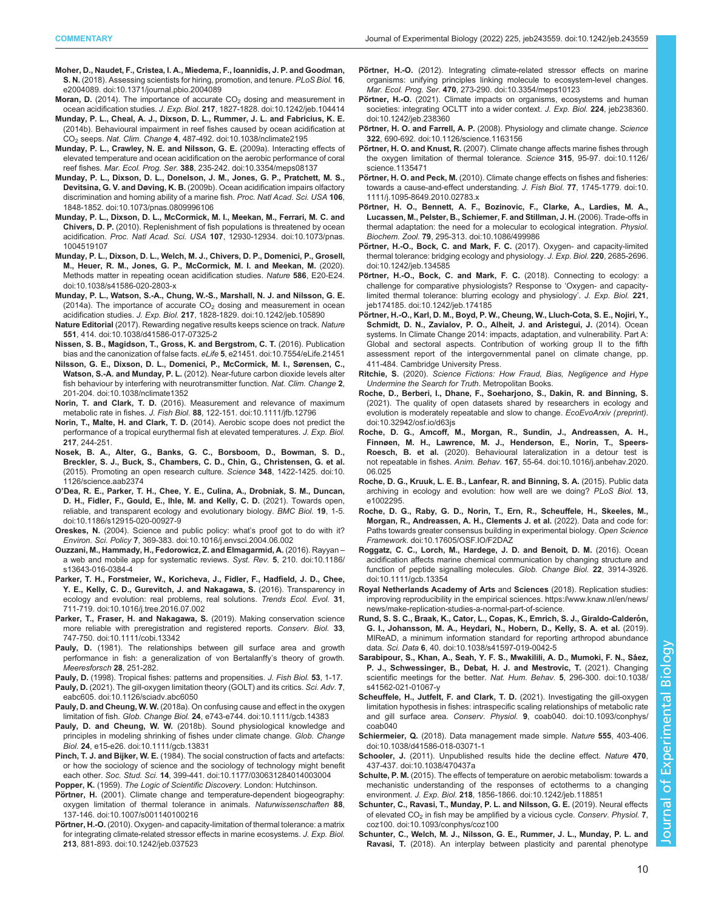- <span id="page-9-0"></span>[Moher, D., Naudet, F., Cristea, I. A., Miedema, F., Ioannidis, J. P. and Goodman,](https://doi.org/10.1371/journal.pbio.2004089) S. N. [\(2018\). Assessing scientists for hiring, promotion, and tenure.](https://doi.org/10.1371/journal.pbio.2004089) PLoS Biol. 16, [e2004089. doi:10.1371/journal.pbio.2004089](https://doi.org/10.1371/journal.pbio.2004089)
- Moran, D. (2014). The importance of accurate  $CO<sub>2</sub>$  [dosing and measurement in](https://doi.org/10.1242/jeb.104414) ocean acidification studies. J. Exp. Biol. 217[, 1827-1828. doi:10.1242/jeb.104414](https://doi.org/10.1242/jeb.104414)
- [Munday, P. L., Cheal, A. J., Dixson, D. L., Rummer, J. L. and Fabricius, K. E.](https://doi.org/10.1038/nclimate2195) [\(2014b\). Behavioural impairment in reef fishes caused by ocean acidification at](https://doi.org/10.1038/nclimate2195) [CO2](https://doi.org/10.1038/nclimate2195) seeps. Nat. Clim. Change 4[, 487-492. doi:10.1038/nclimate2195](https://doi.org/10.1038/nclimate2195)
- [Munday, P. L., Crawley, N. E. and Nilsson, G. E.](https://doi.org/10.3354/meps08137) (2009a). Interacting effects of [elevated temperature and ocean acidification on the aerobic performance of coral](https://doi.org/10.3354/meps08137) reef fishes. Mar. Ecol. Prog. Ser. 388[, 235-242. doi:10.3354/meps08137](https://doi.org/10.3354/meps08137)
- [Munday, P. L., Dixson, D. L., Donelson, J. M., Jones, G. P., Pratchett, M. S.,](https://doi.org/10.1073/pnas.0809996106) Devitsina, G. V. and Døving, K. B. [\(2009b\). Ocean acidification impairs olfactory](https://doi.org/10.1073/pnas.0809996106) [discrimination and homing ability of a marine fish.](https://doi.org/10.1073/pnas.0809996106) Proc. Natl Acad. Sci. USA 106, [1848-1852. doi:10.1073/pnas.0809996106](https://doi.org/10.1073/pnas.0809996106)
- [Munday, P. L., Dixson, D. L., McCormick, M. I., Meekan, M., Ferrari, M. C. and](https://doi.org/10.1073/pnas.1004519107) Chivers, D. P. [\(2010\). Replenishment of fish populations is threatened by ocean](https://doi.org/10.1073/pnas.1004519107) acidification. Proc. Natl Acad. Sci. USA 107[, 12930-12934. doi:10.1073/pnas.](https://doi.org/10.1073/pnas.1004519107) [1004519107](https://doi.org/10.1073/pnas.1004519107)
- [Munday, P. L., Dixson, D. L., Welch, M. J., Chivers, D. P., Domenici, P., Grosell,](https://doi.org/10.1038/s41586-020-2803-x) [M., Heuer, R. M., Jones, G. P., McCormick, M. I. and Meekan, M.](https://doi.org/10.1038/s41586-020-2803-x) (2020). [Methods matter in repeating ocean acidification studies.](https://doi.org/10.1038/s41586-020-2803-x) Nature 586, E20-E24. [doi:10.1038/s41586-020-2803-x](https://doi.org/10.1038/s41586-020-2803-x)
- [Munday, P. L., Watson, S.-A., Chung, W.-S., Marshall, N. J. and Nilsson, G. E.](https://doi.org/10.1242/jeb.105890) (2014a). The importance of accurate  $CO<sub>2</sub>$  [dosing and measurement in ocean](https://doi.org/10.1242/jeb.105890) acidification studies. J. Exp. Biol. 217[, 1828-1829. doi:10.1242/jeb.105890](https://doi.org/10.1242/jeb.105890)
- Nature Editorial [\(2017\). Rewarding negative results keeps science on track.](https://doi.org/10.1038/d41586-017-07325-2) Nature 551[, 414. doi:10.1038/d41586-017-07325-2](https://doi.org/10.1038/d41586-017-07325-2)
- [Nissen, S. B., Magidson, T., Gross, K. and Bergstrom, C. T.](https://doi.org/10.7554/eLife.21451) (2016). Publication [bias and the canonization of false facts.](https://doi.org/10.7554/eLife.21451) eLife 5, e21451. doi:10.7554/eLife.21451
- [Nilsson, G. E., Dixson, D. L., Domenici, P., McCormick, M. I., Sørensen, C.,](https://doi.org/10.1038/nclimate1352) Watson, S.-A. and Munday, P. L. [\(2012\). Near-future carbon dioxide levels alter](https://doi.org/10.1038/nclimate1352) [fish behaviour by interfering with neurotransmitter function.](https://doi.org/10.1038/nclimate1352) Nat. Clim. Change 2, [201-204. doi:10.1038/nclimate1352](https://doi.org/10.1038/nclimate1352)
- Norin, T. and Clark, T. D. [\(2016\). Measurement and relevance of maximum](https://doi.org/10.1111/jfb.12796) metabolic rate in fishes. J. Fish Biol. 88[, 122-151. doi:10.1111/jfb.12796](https://doi.org/10.1111/jfb.12796)
- Norin, T., Malte, H. and Clark, T. D. (2014). Aerobic scope does not predict the performance of a tropical eurythermal fish at elevated temperatures. J. Exp. Biol. 217, 244-251.
- [Nosek, B. A., Alter, G., Banks, G. C., Borsboom, D., Bowman, S. D.,](https://doi.org/10.1126/science.aab2374) [Breckler, S. J., Buck, S., Chambers, C. D., Chin, G., Christensen, G. et al.](https://doi.org/10.1126/science.aab2374) [\(2015\). Promoting an open research culture.](https://doi.org/10.1126/science.aab2374) Science 348, 1422-1425. doi:10. [1126/science.aab2374](https://doi.org/10.1126/science.aab2374)
- O'[Dea, R. E., Parker, T. H., Chee, Y. E., Culina, A., Drobniak, S. M., Duncan,](https://doi.org/10.1186/s12915-020-00927-9) [D. H., Fidler, F., Gould, E., Ihle, M. and Kelly, C. D.](https://doi.org/10.1186/s12915-020-00927-9) (2021). Towards open, [reliable, and transparent ecology and evolutionary biology.](https://doi.org/10.1186/s12915-020-00927-9) BMC Biol. 19, 1-5. [doi:10.1186/s12915-020-00927-9](https://doi.org/10.1186/s12915-020-00927-9)
- Oreskes, N. [\(2004\). Science and public policy: what](https://doi.org/10.1016/j.envsci.2004.06.002)'s proof got to do with it? Environ. Sci. Policy 7[, 369-383. doi:10.1016/j.envsci.2004.06.002](https://doi.org/10.1016/j.envsci.2004.06.002)
- [Ouzzani, M., Hammady, H., Fedorowicz, Z. and Elmagarmid, A.](https://doi.org/10.1186/s13643-016-0384-4) (2016). Rayyan [a web and mobile app for systematic reviews.](https://doi.org/10.1186/s13643-016-0384-4) Syst. Rev. 5, 210. doi:10.1186/ [s13643-016-0384-4](https://doi.org/10.1186/s13643-016-0384-4)
- [Parker, T. H., Forstmeier, W., Koricheva, J., Fidler, F., Hadfield, J. D., Chee,](https://doi.org/10.1016/j.tree.2016.07.002) [Y. E., Kelly, C. D., Gurevitch, J. and Nakagawa, S.](https://doi.org/10.1016/j.tree.2016.07.002) (2016). Transparency in [ecology and evolution: real problems, real solutions.](https://doi.org/10.1016/j.tree.2016.07.002) Trends Ecol. Evol. 31, [711-719. doi:10.1016/j.tree.2016.07.002](https://doi.org/10.1016/j.tree.2016.07.002)
- [Parker, T., Fraser, H. and Nakagawa, S.](https://doi.org/10.1111/cobi.13342) (2019). Making conservation science [more reliable with preregistration and registered reports.](https://doi.org/10.1111/cobi.13342) Conserv. Biol. 33, [747-750. doi:10.1111/cobi.13342](https://doi.org/10.1111/cobi.13342)
- Pauly, D. (1981). The relationships between gill surface area and growth performance in fish: a generalization of von Bertalanffy's theory of growth. Meeresforsch 28, 251-282.
- Pauly, D. (1998). Tropical fishes: patterns and propensities. J. Fish Biol. 53, 1-17. Pauly, D. [\(2021\). The gill-oxygen limitation theory \(GOLT\) and its critics.](https://doi.org/10.1126/sciadv.abc6050) Sci. Adv. 7, [eabc605. doi:10.1126/sciadv.abc6050](https://doi.org/10.1126/sciadv.abc6050)
- Pauly, D. and Cheung, W. W. [\(2018a\). On confusing cause and effect in the oxygen](https://doi.org/10.1111/gcb.14383) limitation of fish. Glob. Change Biol. 24[, e743-e744. doi:10.1111/gcb.14383](https://doi.org/10.1111/gcb.14383)
- Pauly, D. and Cheung, W. W. [\(2018b\). Sound physiological knowledge and](https://doi.org/10.1111/gcb.13831) [principles in modeling shrinking of fishes under climate change.](https://doi.org/10.1111/gcb.13831) Glob. Change Biol. 24[, e15-e26. doi:10.1111/gcb.13831](https://doi.org/10.1111/gcb.13831)
- Pinch, T. J. and Bijker, W. E. [\(1984\). The social construction of facts and artefacts:](https://doi.org/10.1177/030631284014003004) [or how the sociology of science and the sociology of technology might benefit](https://doi.org/10.1177/030631284014003004) each other. Soc. Stud. Sci. 14[, 399-441. doi:10.1177/030631284014003004](https://doi.org/10.1177/030631284014003004)

Popper, K. (1959). The Logic of Scientific Discovery. London: Hutchinson.

- Pörtner, H. [\(2001\). Climate change and temperature-dependent biogeography:](https://doi.org/10.1007/s001140100216) [oxygen limitation of thermal tolerance in animals.](https://doi.org/10.1007/s001140100216) Naturwissenschaften 88, [137-146. doi:10.1007/s001140100216](https://doi.org/10.1007/s001140100216)
- Pörtner, H.-O. [\(2010\). Oxygen- and capacity-limitation of thermal tolerance: a matrix](https://doi.org/10.1242/jeb.037523) [for integrating climate-related stressor effects in marine ecosystems.](https://doi.org/10.1242/jeb.037523) J. Exp. Biol. 213[, 881-893. doi:10.1242/jeb.037523](https://doi.org/10.1242/jeb.037523)
- Pörtner, H.-O. [\(2012\). Integrating climate-related stressor effects on marine](https://doi.org/10.3354/meps10123) [organisms: unifying principles linking molecule to ecosystem-level changes.](https://doi.org/10.3354/meps10123) Mar. Ecol. Prog. Ser. 470[, 273-290. doi:10.3354/meps10123](https://doi.org/10.3354/meps10123)
- Pörtner, H.-O. [\(2021\). Climate impacts on organisms, ecosystems and human](https://doi.org/10.1242/jeb.238360) [societies: integrating OCLTT into a wider context.](https://doi.org/10.1242/jeb.238360) J. Exp. Biol. 224, jeb238360. [doi:10.1242/jeb.238360](https://doi.org/10.1242/jeb.238360)
- Pörtner, H. O. and Farrell, A. P. [\(2008\). Physiology and climate change.](https://doi.org/10.1126/science.1163156) Science 322[, 690-692. doi:10.1126/science.1163156](https://doi.org/10.1126/science.1163156)
- Pörtner, H. O. and Knust, R. [\(2007\). Climate change affects marine fishes through](https://doi.org/10.1126/science.1135471) [the oxygen limitation of thermal tolerance.](https://doi.org/10.1126/science.1135471) Science 315, 95-97. doi:10.1126/ [science.1135471](https://doi.org/10.1126/science.1135471)
- Pörtner, H. O. and Peck, M. [\(2010\). Climate change effects on fishes and fisheries:](https://doi.org/10.1111/j.1095-8649.2010.02783.x) [towards a cause-and-effect understanding.](https://doi.org/10.1111/j.1095-8649.2010.02783.x) J. Fish Biol. 77, 1745-1779. doi:10. [1111/j.1095-8649.2010.02783.x](https://doi.org/10.1111/j.1095-8649.2010.02783.x)
- Pö[rtner, H. O., Bennett, A. F., Bozinovic, F., Clarke, A., Lardies, M. A.,](https://doi.org/10.1086/499986) [Lucassen, M., Pelster, B., Schiemer, F. and Stillman, J. H.](https://doi.org/10.1086/499986) (2006). Trade-offs in [thermal adaptation: the need for a molecular to ecological integration.](https://doi.org/10.1086/499986) Physiol. Biochem. Zool. 79[, 295-313. doi:10.1086/499986](https://doi.org/10.1086/499986)
- Pö[rtner, H.-O., Bock, C. and Mark, F. C.](https://doi.org/10.1242/jeb.134585) (2017). Oxygen- and capacity-limited [thermal tolerance: bridging ecology and physiology.](https://doi.org/10.1242/jeb.134585) J. Exp. Biol. 220, 2685-2696. [doi:10.1242/jeb.134585](https://doi.org/10.1242/jeb.134585)
- Pö[rtner, H.-O., Bock, C. and Mark, F. C.](https://doi.org/10.1242/jeb.174185) (2018). Connecting to ecology: a [challenge for comparative physiologists? Response to](https://doi.org/10.1242/jeb.174185) 'Oxygen- and capacity[limited thermal tolerance: blurring ecology and physiology](https://doi.org/10.1242/jeb.174185)'. J. Exp. Biol. 221, [jeb174185. doi:10.1242/jeb.174185](https://doi.org/10.1242/jeb.174185)
- Pörtner, H.-O., Karl, D. M., Boyd, P. W., Cheung, W., Lluch-Cota, S. E., Nojiri, Y., Schmidt, D. N., Zavialov, P. O., Alheit, J. and Aristegui, J. (2014). Ocean systems. In Climate Change 2014: impacts, adaptation, and vulnerability. Part A: Global and sectoral aspects. Contribution of working group II to the fifth assessment report of the intergovernmental panel on climate change, pp. 411-484. Cambridge University Press.
- Ritchie, S. (2020). Science Fictions: How Fraud, Bias, Negligence and Hype Undermine the Search for Truth. Metropolitan Books.
- [Roche, D., Berberi, I., Dhane, F., Soeharjono, S., Dakin, R. and Binning, S.](https://doi.org/10.32942/osf.io/d63js) [\(2021\). The quality of open datasets shared by researchers in ecology and](https://doi.org/10.32942/osf.io/d63js) [evolution is moderately repeatable and slow to change.](https://doi.org/10.32942/osf.io/d63js) EcoEvoArxiv (preprint). [doi:10.32942/osf.io/d63js](https://doi.org/10.32942/osf.io/d63js)
- [Roche, D. G., Amcoff, M., Morgan, R., Sundin, J., Andreassen, A. H.,](https://doi.org/10.1016/j.anbehav.2020.06.025) [Finnøen, M. H., Lawrence, M. J., Henderson, E., Norin, T., Speers-](https://doi.org/10.1016/j.anbehav.2020.06.025)Roesch, B. et al. [\(2020\). Behavioural lateralization in a detour test is](https://doi.org/10.1016/j.anbehav.2020.06.025) not repeatable in fishes. Anim. Behav. 167[, 55-64. doi:10.1016/j.anbehav.2020.](https://doi.org/10.1016/j.anbehav.2020.06.025) [06.025](https://doi.org/10.1016/j.anbehav.2020.06.025)
- Roche, D. G., Kruuk, L. E. B., Lanfear, R. and Binning, S. A. (2015). Public data archiving in ecology and evolution: how well are we doing? PLoS Biol. 13, e1002295.
- [Roche, D. G., Raby, G. D., Norin, T., Ern, R., Scheuffele, H., Skeeles, M.,](https://doi.org/10.17605/OSF.IO/F2DAZ) [Morgan, R., Andreassen, A. H., Clements J. et al.](https://doi.org/10.17605/OSF.IO/F2DAZ) (2022). Data and code for: [Paths towards greater consensus building in experimental biology.](https://doi.org/10.17605/OSF.IO/F2DAZ) Open Science Framework[. doi:10.17605/OSF.IO/F2DAZ](https://doi.org/10.17605/OSF.IO/F2DAZ)
- [Roggatz, C. C., Lorch, M., Hardege, J. D. and Benoit, D. M.](https://doi.org/10.1111/gcb.13354) (2016). Ocean [acidification affects marine chemical communication by changing structure and](https://doi.org/10.1111/gcb.13354) [function of peptide signalling molecules.](https://doi.org/10.1111/gcb.13354) Glob. Change Biol. 22, 3914-3926. [doi:10.1111/gcb.13354](https://doi.org/10.1111/gcb.13354)
- Royal Netherlands Academy of Arts and Sciences (2018). Replication studies: improving reproducibility in the empirical sciences. [https://www.knaw.nl/en/news/](https://www.knaw.nl/en/news/news/make-replication-studies-a-normal-part-of-science) [news/make-replication-studies-a-normal-part-of-science](https://www.knaw.nl/en/news/news/make-replication-studies-a-normal-part-of-science).
- Rund, S. S. C., Braak, K., Cator, L., Copas, K., Emrich, S. J., Giraldo-Calderón, [G. I., Johansson, M. A., Heydari, N., Hobern, D., Kelly, S. A. et al.](https://doi.org/10.1038/s41597-019-0042-5) (2019). [MIReAD, a minimum information standard for reporting arthropod abundance](https://doi.org/10.1038/s41597-019-0042-5) data. Sci. Data 6[, 40. doi:10.1038/s41597-019-0042-5](https://doi.org/10.1038/s41597-019-0042-5)
- Sarabipour, S., Khan, A., Seah, Y. F. S., Mwakilili, A. D., Mumoki, F. N., Sáez, [P. J., Schwessinger, B., Debat, H. J. and Mestrovic, T.](https://doi.org/10.1038/s41562-021-01067-y) (2021). Changing [scientific meetings for the better.](https://doi.org/10.1038/s41562-021-01067-y) Nat. Hum. Behav. 5, 296-300. doi:10.1038/ [s41562-021-01067-y](https://doi.org/10.1038/s41562-021-01067-y)
- [Scheuffele, H., Jutfelt, F. and Clark, T. D.](https://doi.org/10.1093/conphys/coab040) (2021). Investigating the gill-oxygen [limitation hypothesis in fishes: intraspecific scaling relationships of metabolic rate](https://doi.org/10.1093/conphys/coab040) and gill surface area. Conserv. Physiol. 9[, coab040. doi:10.1093/conphys/](https://doi.org/10.1093/conphys/coab040) [coab040](https://doi.org/10.1093/conphys/coab040)
- Schiermeier, Q. [\(2018\). Data management made simple.](https://doi.org/10.1038/d41586-018-03071-1) Nature 555, 403-406. [doi:10.1038/d41586-018-03071-1](https://doi.org/10.1038/d41586-018-03071-1)
- Schooler, J. [\(2011\). Unpublished results hide the decline effect.](https://doi.org/10.1038/470437a) Nature 470, [437-437. doi:10.1038/470437a](https://doi.org/10.1038/470437a)
- Schulte, P. M. [\(2015\). The effects of temperature on aerobic metabolism: towards a](https://doi.org/10.1242/jeb.118851) [mechanistic understanding of the responses of ectotherms to a changing](https://doi.org/10.1242/jeb.118851) environment. J. Exp. Biol. 218[, 1856-1866. doi:10.1242/jeb.118851](https://doi.org/10.1242/jeb.118851)
- [Schunter, C., Ravasi, T., Munday, P. L. and Nilsson, G. E.](https://doi.org/10.1093/conphys/coz100) (2019). Neural effects of elevated  $CO<sub>2</sub>$  [in fish may be amplified by a vicious cycle.](https://doi.org/10.1093/conphys/coz100) Conserv. Physiol. 7, [coz100. doi:10.1093/conphys/coz100](https://doi.org/10.1093/conphys/coz100)
- [Schunter, C., Welch, M. J., Nilsson, G. E., Rummer, J. L., Munday, P. L. and](https://doi.org/10.1038/s41559-017-0428-8) Ravasi, T. [\(2018\). An interplay between plasticity and parental phenotype](https://doi.org/10.1038/s41559-017-0428-8)